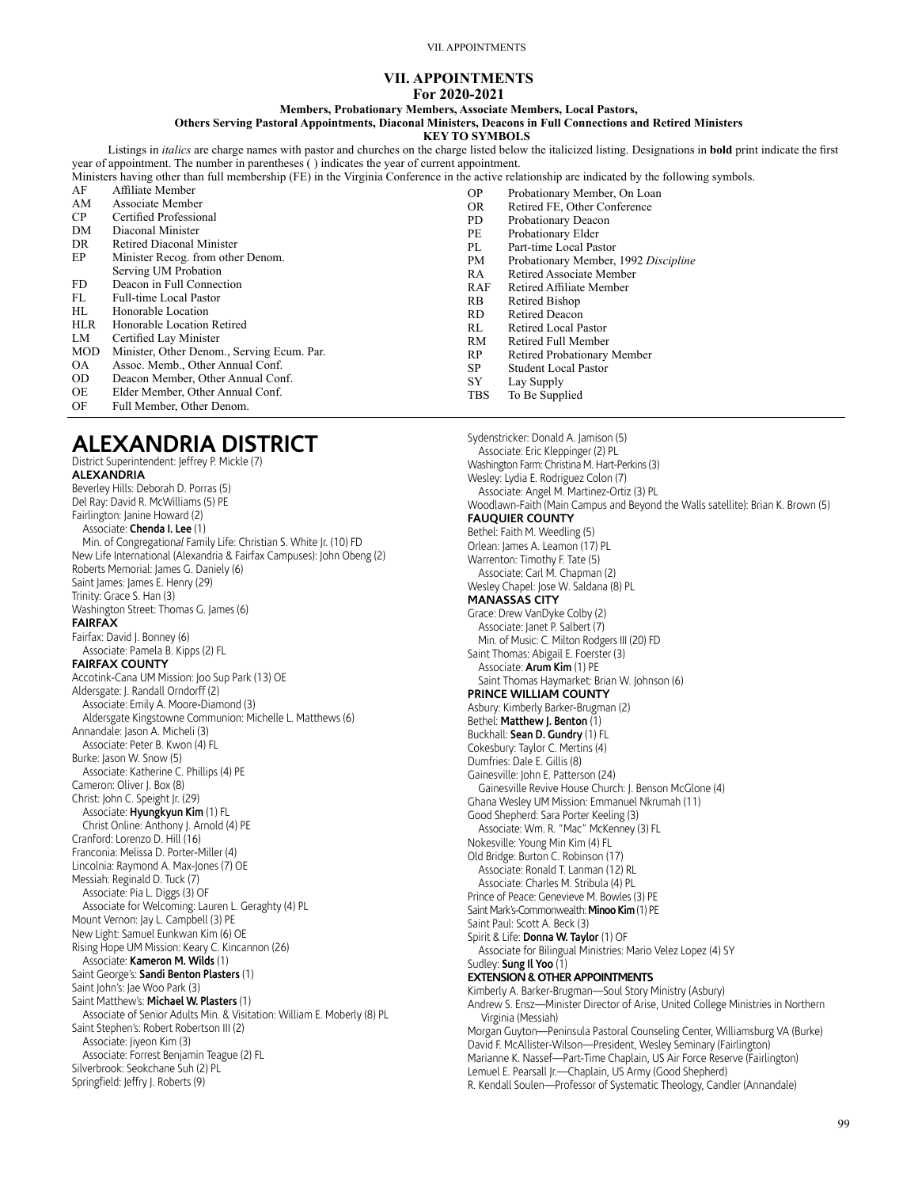VII. APPOINTMENTS

### **VII. APPOINTMENTS For 2020-2021**

### **Members, Probationary Members, Associate Members, Local Pastors,**

**Others Serving Pastoral Appointments, Diaconal Ministers, Deacons in Full Connections and Retired Ministers**

**KEY TO SYMBOLS**

Listings in *italics* are charge names with pastor and churches on the charge listed below the italicized listing. Designations in **bold** print indicate the first year of appointment. The number in parentheses ( ) indicates the year of current appointment.

| Ministers having other than full membership (FE) in the Virginia Conference in the active relationship are indicated by the following symbols. |                                            |           |                                      |
|------------------------------------------------------------------------------------------------------------------------------------------------|--------------------------------------------|-----------|--------------------------------------|
| AF                                                                                                                                             | Affiliate Member                           | OΡ        | Probationary Member, On Loan         |
| AΜ                                                                                                                                             | Associate Member                           | OR.       | Retired FE, Other Conference         |
| CP                                                                                                                                             | Certified Professional                     | PD.       | Probationary Deacon                  |
| DM                                                                                                                                             | Diaconal Minister                          | PE        | Probationary Elder                   |
| DR                                                                                                                                             | Retired Diaconal Minister                  | PL        | Part-time Local Pastor               |
| EP                                                                                                                                             | Minister Recog. from other Denom.          | PМ        | Probationary Member, 1992 Discipline |
|                                                                                                                                                | Serving UM Probation                       | RA        | Retired Associate Member             |
| FD.                                                                                                                                            | Deacon in Full Connection                  | RAF       | Retired Affiliate Member             |
| FL                                                                                                                                             | Full-time Local Pastor                     | RB        | Retired Bishop                       |
| HL                                                                                                                                             | Honorable Location                         | RD.       | <b>Retired Deacon</b>                |
| <b>HLR</b>                                                                                                                                     | Honorable Location Retired                 | RL        | Retired Local Pastor                 |
| LM                                                                                                                                             | Certified Lay Minister                     | RM        | Retired Full Member                  |
| <b>MOD</b>                                                                                                                                     | Minister, Other Denom., Serving Ecum. Par. | RP        | Retired Probationary Member          |
| OA.                                                                                                                                            | Assoc. Memb., Other Annual Conf.           | <b>SP</b> | <b>Student Local Pastor</b>          |
| OD.                                                                                                                                            | Deacon Member, Other Annual Conf.          | SY        | Lay Supply                           |
| OE                                                                                                                                             | Elder Member, Other Annual Conf.           | TBS       | To Be Supplied                       |

Sydenstricker: Donald A. Jamison (5)

OF Full Member, Other Denom.

# **ALEXANDRIA DISTRICT**

District Superintendent: Jeffrey P. Mickle (7) **ALEXANDRIA** Beverley Hills: Deborah D. Porras (5) Del Ray: David R. McWilliams (5) PE Fairlington: Janine Howard (2) Associate: **Chenda I. Lee** (1) Min. of Congregation*al* Family Life: Christian S. White Jr. (10) FD New Life International (Alexandria & Fairfax Campuses): John Obeng (2) Roberts Memorial: James G. Daniely (6) Saint James: James E. Henry (29) Trinity: Grace S. Han (3) Washington Street: Thomas G. James (6) **FAIRFAX** Fairfax: David J. Bonney (6) Associate: Pamela B. Kipps (2) FL **FAIRFAX COUNTY** Accotink-Cana UM Mission: Joo Sup Park (13) OE Aldersgate: J. Randall Orndorff (2) Associate: Emily A. Moore-Diamond (3) Aldersgate Kingstowne Communion: Michelle L. Matthews (6) Annandale: Jason A. Micheli (3) Associate: Peter B. Kwon (4) FL Burke: Jason W. Snow (5) Associate: Katherine C. Phillips (4) PE Cameron: Oliver J. Box (8) Christ: John C. Speight Jr. (29) Associate: **Hyungkyun Kim** (1) FL Christ Online: Anthony J. Arnold (4) PE Cranford: Lorenzo D. Hill (16) Franconia: Melissa D. Porter-Miller (4) Lincolnia: Raymond A. Max-Jones (7) OE Messiah: Reginald D. Tuck (7) Associate: Pia L. Diggs (3) OF Associate for Welcoming: Lauren L. Geraghty (4) PL Mount Vernon: Jay L. Campbell (3) PE New Light: Samuel Eunkwan Kim (6) OE Rising Hope UM Mission: Keary C. Kincannon (26) Associate: **Kameron M. Wilds** (1) Saint George's: **Sandi Benton Plasters** (1) Saint John's: Jae Woo Park (3) Saint Matthew's: **Michael W. Plasters** (1) Associate of Senior Adults Min. & Visitation: William E. Moberly (8) PL Saint Stephen's: Robert Robertson III (2) Associate: Jiyeon Kim (3) Associate: Forrest Benjamin Teague (2) FL Silverbrook: Seokchane Suh (2) PL Springfield: Jeffry J. Roberts (9)

Associate: Eric Kleppinger (2) PL Washington Farm: Christina M. Hart-Perkins (3) Wesley: Lydia E. Rodriguez Colon (7) Associate: Angel M. Martinez-Ortiz (3) PL Woodlawn-Faith (Main Campus and Beyond the Walls satellite): Brian K. Brown (5) **FAUQUIER COUNTY** Bethel: Faith M. Weedling (5) Orlean: James A. Leamon (17) PL Warrenton: Timothy F. Tate (5) Associate: Carl M. Chapman (2) Wesley Chapel: Jose W. Saldana (8) PL **MANASSAS CITY** Grace: Drew VanDyke Colby (2) Associate: Janet P. Salbert (7) Min. of Music: C. Milton Rodgers III (20) FD Saint Thomas: Abigail E. Foerster (3) Associate: **Arum Kim** (1) PE Saint Thomas Haymarket: Brian W. Johnson (6) **PRINCE WILLIAM COUNTY** Asbury: Kimberly Barker-Brugman (2) Bethel: **Matthew I. Benton** (1) Buckhall: **Sean D. Gundry** (1) FL Cokesbury: Taylor C. Mertins (4) Dumfries: Dale E. Gillis (8) Gainesville: John E. Patterson (24) Gainesville Revive House Church: J. Benson McGlone (4) Ghana Wesley UM Mission: Emmanuel Nkrumah (11) Good Shepherd: Sara Porter Keeling (3) Associate: Wm. R. "Mac" McKenney (3) FL Nokesville: Young Min Kim (4) FL Old Bridge: Burton C. Robinson (17) Associate: Ronald T. Lanman (12) RL Associate: Charles M. Stribula (4) PL Prince of Peace: Genevieve M. Bowles (3) PE Saint Mark's-Commonwealth: **Minoo Kim** (1) PE Saint Paul: Scott A. Beck (3) Spirit & Life: **Donna W. Taylor** (1) OF Associate for Bilingual Ministries: Mario Velez Lopez (4) SY Sudley: **Sung Il Yoo** (1) **EXTENSION & OTHER APPOINTMENTS** Kimberly A. Barker-Brugman—Soul Story Ministry (Asbury) Andrew S. Ensz—Minister Director of Arise, United College Ministries in Northern Virginia (Messiah) Morgan Guyton—Peninsula Pastoral Counseling Center, Williamsburg VA (Burke) David F. McAllister-Wilson—President, Wesley Seminary (Fairlington) Marianne K. Nassef—Part-Time Chaplain, US Air Force Reserve (Fairlington) Lemuel E. Pearsall Jr.—Chaplain, US Army (Good Shepherd) R. Kendall Soulen—Professor of Systematic Theology, Candler (Annandale)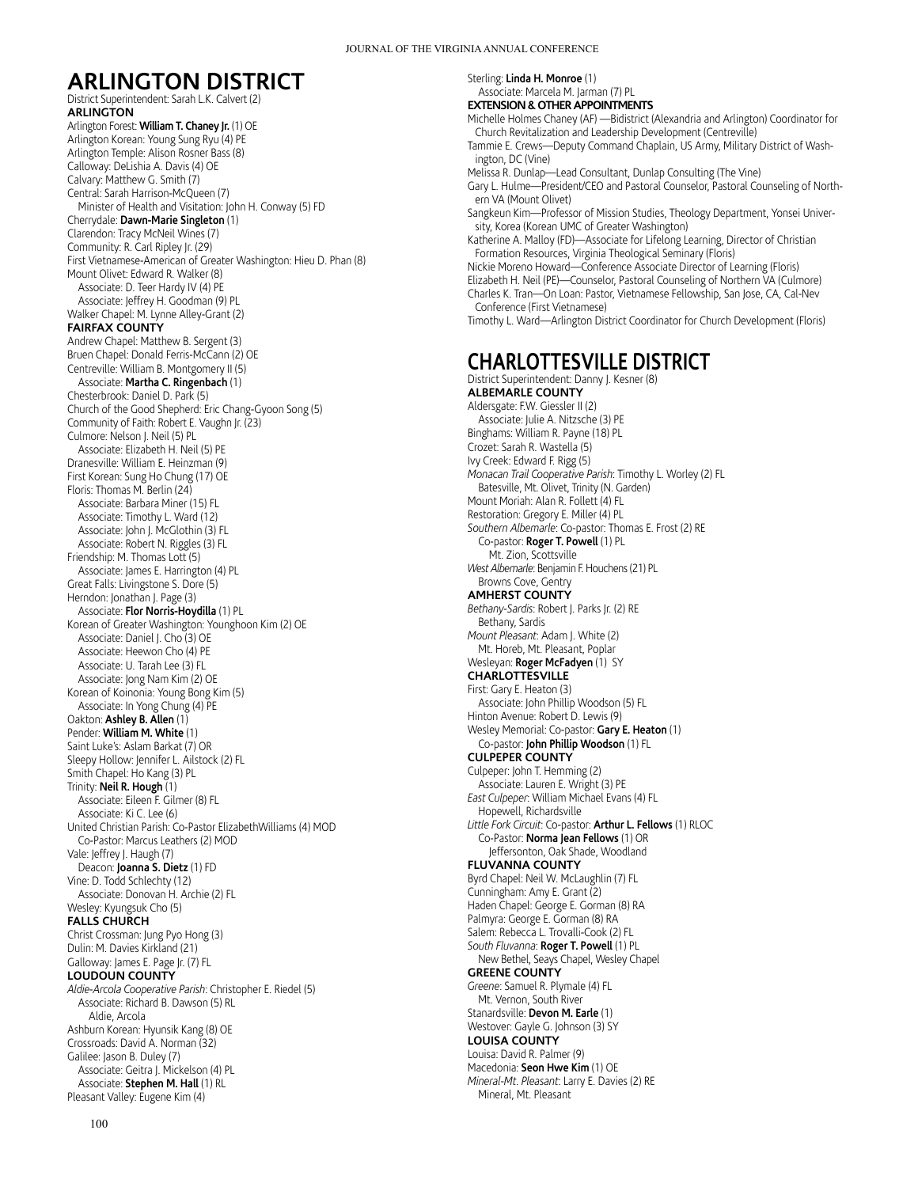# **ARLINGTON DISTRICT**

District Superintendent: Sarah L.K. Calvert (2) **ARLINGTON** Arlington Forest: **William T. Chaney Jr.** (1) OE Arlington Korean: Young Sung Ryu (4) PE Arlington Temple: Alison Rosner Bass (8) Calloway: DeLishia A. Davis (4) OE Calvary: Matthew G. Smith (7) Central: Sarah Harrison-McQueen (7) Minister of Health and Visitation: John H. Conway (5) FD Cherrydale: **Dawn-Marie Singleton** (1) Clarendon: Tracy McNeil Wines (7) Community: R. Carl Ripley Jr. (29) First Vietnamese-American of Greater Washington: Hieu D. Phan (8) Mount Olivet: Edward R. Walker (8) Associate: D. Teer Hardy IV (4) PE Associate: Jeffrey H. Goodman (9) PL Walker Chapel: M. Lynne Alley-Grant (2) **FAIRFAX COUNTY** Andrew Chapel: Matthew B. Sergent (3) Bruen Chapel: Donald Ferris-McCann (2) OE Centreville: William B. Montgomery II (5) Associate: **Martha C. Ringenbach** (1) Chesterbrook: Daniel D. Park (5) Church of the Good Shepherd: Eric Chang-Gyoon Song (5) Community of Faith: Robert E. Vaughn Jr. (23) Culmore: Nelson J. Neil (5) PL Associate: Elizabeth H. Neil (5) PE Dranesville: William E. Heinzman (9) First Korean: Sung Ho Chung (17) OE Floris: Thomas M. Berlin (24) Associate: Barbara Miner (15) FL Associate: Timothy L. Ward (12) Associate: John J. McGlothin (3) FL Associate: Robert N. Riggles (3) FL Friendship: M. Thomas Lott (5) Associate: James E. Harrington (4) PL Great Falls: Livingstone S. Dore (5) Herndon: Jonathan J. Page (3) Associate: **Flor Norris-Hoydilla** (1) PL Korean of Greater Washington: Younghoon Kim (2) OE Associate: Daniel J. Cho (3) OE Associate: Heewon Cho (4) PE Associate: U. Tarah Lee (3) FL Associate: Jong Nam Kim (2) OE Korean of Koinonia: Young Bong Kim (5) Associate: In Yong Chung (4) PE Oakton: **Ashley B. Allen** (1) Pender: **William M. White** (1) Saint Luke's: Aslam Barkat (7) OR Sleepy Hollow: Jennifer L. Ailstock (2) FL Smith Chapel: Ho Kang (3) PL Trinity: **Neil R. Hough** (1) Associate: Eileen F. Gilmer (8) FL Associate: Ki C. Lee (6) United Christian Parish: Co-Pastor ElizabethWilliams (4) MOD Co-Pastor: Marcus Leathers (2) MOD Vale: Jeffrey J. Haugh (7) Deacon: **Joanna S. Dietz** (1) FD Vine: D. Todd Schlechty (12) Associate: Donovan H. Archie (2) FL Wesley: Kyungsuk Cho (5) **FALLS CHURCH** Christ Crossman: Jung Pyo Hong (3) Dulin: M. Davies Kirkland (21) Galloway: James E. Page Jr. (7) FL **LOUDOUN COUNTY** *Aldie-Arcola Cooperative Parish*: Christopher E. Riedel (5) Associate: Richard B. Dawson (5) RL Aldie, Arcola Ashburn Korean: Hyunsik Kang (8) OE Crossroads: David A. Norman (32) Galilee: Jason B. Duley (7) Associate: Geitra J. Mickelson (4) PL Associate: **Stephen M. Hall** (1) RL Pleasant Valley: Eugene Kim (4)

Sterling: **Linda H. Monroe** (1) Associate: Marcela M. Jarman (7) PL **EXTENSION & OTHER APPOINTMENTS** Michelle Holmes Chaney (AF) —Bidistrict (Alexandria and Arlington) Coordinator for Church Revitalization and Leadership Development (Centreville) Tammie E. Crews—Deputy Command Chaplain, US Army, Military District of Washington, DC (Vine) Melissa R. Dunlap—Lead Consultant, Dunlap Consulting (The Vine) Gary L. Hulme—President/CEO and Pastoral Counselor, Pastoral Counseling of Northern VA (Mount Olivet) Sangkeun Kim—Professor of Mission Studies, Theology Department, Yonsei University, Korea (Korean UMC of Greater Washington) Katherine A. Malloy (FD)—Associate for Lifelong Learning, Director of Christian Formation Resources, Virginia Theological Seminary (Floris) Nickie Moreno Howard—Conference Associate Director of Learning (Floris) Elizabeth H. Neil (PE)—Counselor, Pastoral Counseling of Northern VA (Culmore) Charles K. Tran—On Loan: Pastor, Vietnamese Fellowship, San Jose, CA, Cal-Nev Conference (First Vietnamese) Timothy L. Ward—Arlington District Coordinator for Church Development (Floris) **CHARLOTTESVILLE DISTRICT** District Superintendent: Danny J. Kesner (8) **ALBEMARLE COUNTY** Aldersgate: F.W. Giessler II (2) Associate: Julie A. Nitzsche (3) PE Binghams: William R. Payne (18) PL Crozet: Sarah R. Wastella (5) Ivy Creek: Edward F. Rigg (5) *Monacan Trail Cooperative Parish*: Timothy L. Worley (2) FL Batesville, Mt. Olivet, Trinity (N. Garden) Mount Moriah: Alan R. Follett (4) FL Restoration: Gregory E. Miller (4) PL *Southern Albemarle*: Co-pastor: Thomas E. Frost (2) RE Co-pastor: **Roger T. Powell** (1) PL Mt. Zion, Scottsville *West Albemarle*: Benjamin F. Houchens (21) PL Browns Cove, Gentry **AMHERST COUNTY** *Bethany-Sardis*: Robert J. Parks Jr. (2) RE Bethany, Sardis *Mount Pleasant*: Adam J. White (2) Mt. Horeb, Mt. Pleasant, Poplar Wesleyan: **Roger McFadyen** (1) SY **CHARLOTTESVILLE** First: Gary E. Heaton (3) Associate: John Phillip Woodson (5) FL Hinton Avenue: Robert D. Lewis (9) Wesley Memorial: Co-pastor: **Gary E. Heaton** (1) Co-pastor: **John Phillip Woodson** (1) FL **CULPEPER COUNTY** Culpeper: John T. Hemming (2) Associate: Lauren E. Wright (3) PE *East Culpeper*: William Michael Evans (4) FL Hopewell, Richardsville *Little Fork Circuit*: Co-pastor: **Arthur L. Fellows** (1) RLOC Co-Pastor: **Norma Jean Fellows** (1) OR Jeffersonton, Oak Shade, Woodland **FLUVANNA COUNTY** Byrd Chapel: Neil W. McLaughlin (7) FL Cunningham: Amy E. Grant (2) Haden Chapel: George E. Gorman (8) RA Palmyra: George E. Gorman (8) RA Salem: Rebecca L. Trovalli-Cook (2) FL *South Fluvanna*: **Roger T. Powell** (1) PL New Bethel, Seays Chapel, Wesley Chapel **GREENE COUNTY** *Greene*: Samuel R. Plymale (4) FL Mt. Vernon, South River Stanardsville: **Devon M. Earle** (1) Westover: Gayle G. Johnson (3) SY **LOUISA COUNTY** Louisa: David R. Palmer (9) Macedonia: **Seon Hwe Kim** (1) OE *Mineral-Mt. Pleasant*: Larry E. Davies (2) RE

Mineral, Mt. Pleasant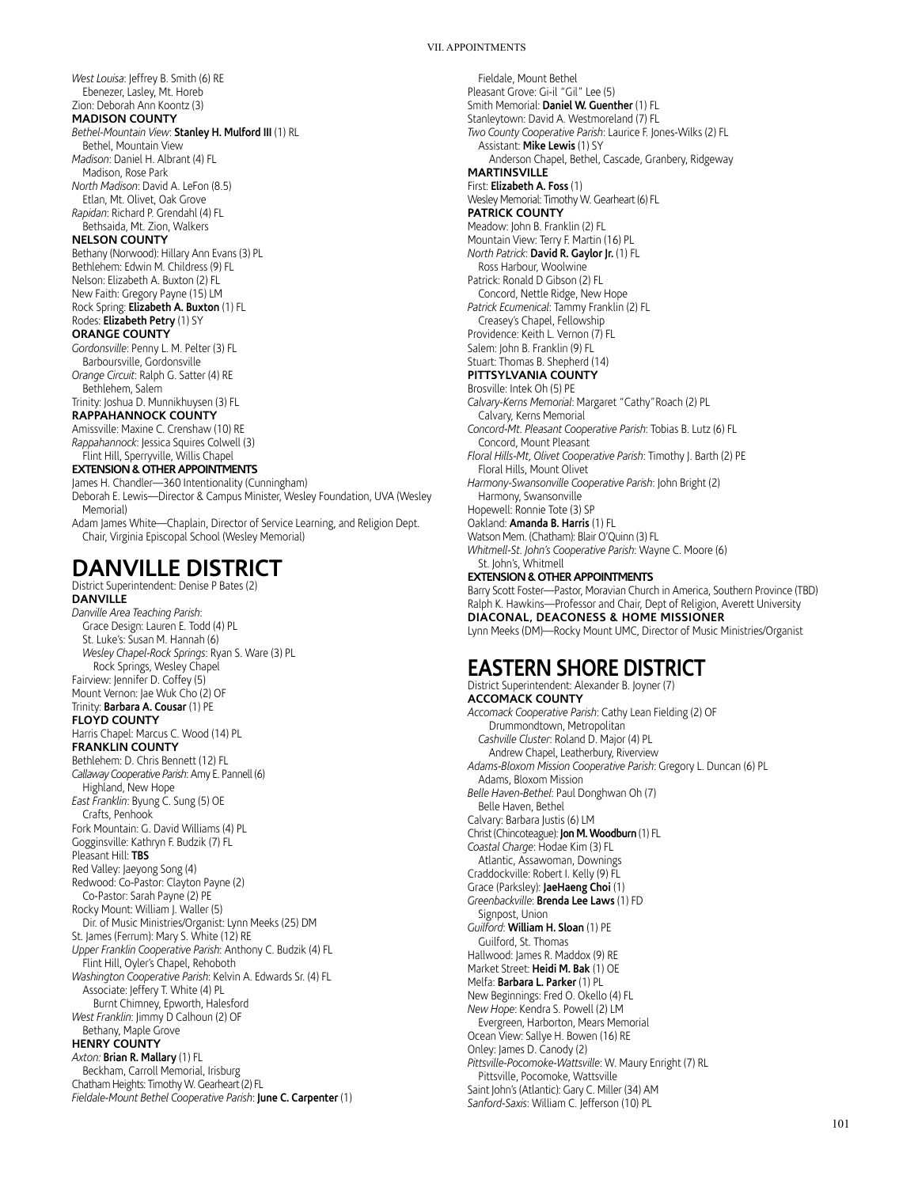*West Louisa*: Jeffrey B. Smith (6) RE Ebenezer, Lasley, Mt. Horeb Zion: Deborah Ann Koontz (3) **MADISON COUNTY** *Bethel-Mountain View*: **Stanley H. Mulford III** (1) RL Bethel, Mountain View *Madison*: Daniel H. Albrant (4) FL Madison, Rose Park *North Madison*: David A. LeFon (8.5) Etlan, Mt. Olivet, Oak Grove *Rapidan*: Richard P. Grendahl (4) FL Bethsaida, Mt. Zion, Walkers **NELSON COUNTY** Bethany (Norwood): Hillary Ann Evans (3) PL Bethlehem: Edwin M. Childress (9) FL Nelson: Elizabeth A. Buxton (2) FL New Faith: Gregory Payne (15) LM Rock Spring: **Elizabeth A. Buxton** (1) FL Rodes: **Elizabeth Petry** (1) SY **ORANGE COUNTY** *Gordonsville*: Penny L. M. Pelter (3) FL Barboursville, Gordonsville *Orange Circuit*: Ralph G. Satter (4) RE Bethlehem, Salem Trinity: Joshua D. Munnikhuysen (3) FL **RAPPAHANNOCK COUNTY** Amissville: Maxine C. Crenshaw (10) RE *Rappahannock*: Jessica Squires Colwell (3) Flint Hill, Sperryville, Willis Chapel **EXTENSION & OTHER APPOINTMENTS** James H. Chandler—360 Intentionality (Cunningham) Deborah E. Lewis—Director & Campus Minister, Wesley Foundation, UVA (Wesley Memorial) Adam James White—Chaplain, Director of Service Learning, and Religion Dept. Chair, Virginia Episcopal School (Wesley Memorial)

# **DANVILLE DISTRICT**

District Superintendent: Denise P Bates (2)

**DANVILLE** *Danville Area Teaching Parish*: Grace Design: Lauren E. Todd (4) PL St. Luke's: Susan M. Hannah (6) *Wesley Chapel-Rock Springs*: Ryan S. Ware (3) PL Rock Springs, Wesley Chapel Fairview: Jennifer D. Coffey (5) Mount Vernon: Jae Wuk Cho (2) OF Trinity: **Barbara A. Cousar** (1) PE **FLOYD COUNTY** Harris Chapel: Marcus C. Wood (14) PL **FRANKLIN COUNTY** Bethlehem: D. Chris Bennett (12) FL *Callaway Cooperative Parish*: Amy E. Pannell (6) Highland, New Hope *East Franklin*: Byung C. Sung (5) OE Crafts, Penhook Fork Mountain: G. David Williams (4) PL Gogginsville: Kathryn F. Budzik (7) FL Pleasant Hill: **TBS** Red Valley: Jaeyong Song (4) Redwood: Co-Pastor: Clayton Payne (2) Co-Pastor: Sarah Payne (2) PE Rocky Mount: William J. Waller (5) Dir. of Music Ministries/Organist: Lynn Meeks (25) DM St. James (Ferrum): Mary S. White (12) RE *Upper Franklin Cooperative Parish*: Anthony C. Budzik (4) FL Flint Hill, Oyler's Chapel, Rehoboth *Washington Cooperative Parish*: Kelvin A. Edwards Sr. (4) FL Associate: Jeffery T. White (4) PL Burnt Chimney, Epworth, Halesford *West Franklin*: Jimmy D Calhoun (2) OF Bethany, Maple Grove **HENRY COUNTY** *Axton:* **Brian R. Mallary** (1) FL Beckham, Carroll Memorial, Irisburg Chatham Heights: Timothy W. Gearheart (2) FL *Fieldale-Mount Bethel Cooperative Parish*: **June C. Carpenter** (1)

Fieldale, Mount Bethel Pleasant Grove: Gi-il "Gil" Lee (5) Smith Memorial: **Daniel W. Guenther** (1) FL Stanleytown: David A. Westmoreland (7) FL *Two County Cooperative Parish*: Laurice F. Jones-Wilks (2) FL Assistant: **Mike Lewis** (1) SY Anderson Chapel, Bethel, Cascade, Granbery, Ridgeway **MARTINSVILLE** First: **Elizabeth A. Foss** (1) Wesley Memorial: Timothy W. Gearheart (6) FL **PATRICK COUNTY** Meadow: John B. Franklin (2) FL Mountain View: Terry F. Martin (16) PL *North Patrick*: **David R. Gaylor Jr.** (1) FL Ross Harbour, Woolwine Patrick: Ronald D Gibson (2) FL Concord, Nettle Ridge, New Hope *Patrick Ecumenical*: Tammy Franklin (2) FL Creasey's Chapel, Fellowship Providence: Keith L. Vernon (7) FL Salem: John B. Franklin (9) FL Stuart: Thomas B. Shepherd (14) **PITTSYLVANIA COUNTY** Brosville: Intek Oh (5) PE *Calvary-Kerns Memorial*: Margaret "Cathy"Roach (2) PL Calvary, Kerns Memorial *Concord-Mt. Pleasant Cooperative Parish*: Tobias B. Lutz (6) FL Concord, Mount Pleasant *Floral Hills-Mt, Olivet Cooperative Parish*: Timothy J. Barth (2) PE Floral Hills, Mount Olivet *Harmony-Swansonville Cooperative Parish*: John Bright (2) Harmony, Swansonville Hopewell: Ronnie Tote (3) SP Oakland: **Amanda B. Harris** (1) FL Watson Mem. (Chatham): Blair O'Quinn (3) FL *Whitmell-St. John's Cooperative Parish*: Wayne C. Moore (6) St. John's, Whitmell **EXTENSION & OTHER APPOINTMENTS** Barry Scott Foster—Pastor, Moravian Church in America, Southern Province (TBD) Ralph K. Hawkins—Professor and Chair, Dept of Religion, Averett University **DIACONAL, DEACONESS & HOME MISSIONER**

# **EASTERN SHORE DISTRICT**

Lynn Meeks (DM)—Rocky Mount UMC, Director of Music Ministries/Organist

District Superintendent: Alexander B. Joyner (7) **ACCOMACK COUNTY** *Accomack Cooperative Parish*: Cathy Lean Fielding (2) OF Drummondtown, Metropolitan *Cashville Cluster*: Roland D. Major (4) PL Andrew Chapel, Leatherbury, Riverview *Adams-Bloxom Mission Cooperative Parish*: Gregory L. Duncan (6) PL Adams, Bloxom Mission *Belle Haven-Bethel*: Paul Donghwan Oh (7) Belle Haven, Bethel Calvary: Barbara Justis (6) LM Christ (Chincoteague): **Jon M. Woodburn** (1) FL *Coastal Charge*: Hodae Kim (3) FL Atlantic, Assawoman, Downings Craddockville: Robert I. Kelly (9) FL Grace (Parksley): **JaeHaeng Choi** (1) *Greenbackville*: **Brenda Lee Laws** (1) FD Signpost, Union *Guilford*: **William H. Sloan** (1) PE Guilford, St. Thomas Hallwood: James R. Maddox (9) RE Market Street: **Heidi M. Bak** (1) OE Melfa: **Barbara L. Parker** (1) PL New Beginnings: Fred O. Okello (4) FL *New Hope*: Kendra S. Powell (2) LM Evergreen, Harborton, Mears Memorial Ocean View: Sallye H. Bowen (16) RE Onley: James D. Canody (2) *Pittsville-Pocomoke-Wattsville*: W. Maury Enright (7) RL Pittsville, Pocomoke, Wattsville Saint John's (Atlantic): Gary C. Miller (34) AM *Sanford-Saxis*: William C. Jefferson (10) PL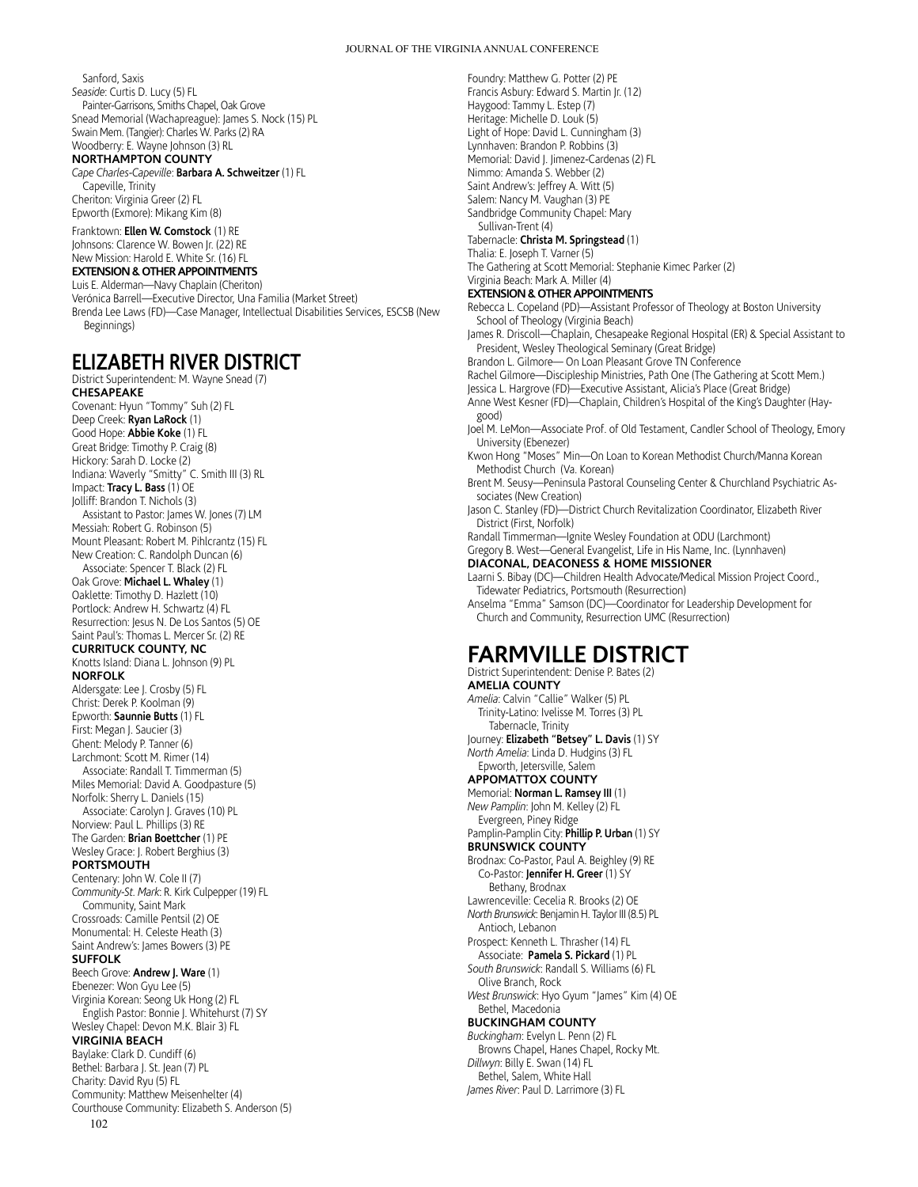Sanford, Saxis *Seaside*: Curtis D. Lucy (5) FL Painter-Garrisons, Smiths Chapel, Oak Grove Snead Memorial (Wachapreague): James S. Nock (15) PL Swain Mem. (Tangier): Charles W. Parks (2) RA Woodberry: E. Wayne Johnson (3) RL **NORTHAMPTON COUNTY** *Cape Charles-Capeville*: **Barbara A. Schweitzer** (1) FL Capeville, Trinity

Cheriton: Virginia Greer (2) FL Epworth (Exmore): Mikang Kim (8)

Franktown: **Ellen W. Comstock** (1) RE Johnsons: Clarence W. Bowen Jr. (22) RE New Mission: Harold E. White Sr. (16) FL **EXTENSION & OTHER APPOINTMENTS**

### Luis E. Alderman—Navy Chaplain (Cheriton)

Verónica Barrell—Executive Director, Una Familia (Market Street) Brenda Lee Laws (FD)—Case Manager, Intellectual Disabilities Services, ESCSB (New Beginnings)

### **ELIZABETH RIVER DISTRICT**

102 District Superintendent: M. Wayne Snead (7) **CHESAPEAKE** Covenant: Hyun "Tommy" Suh (2) FL Deep Creek: **Ryan LaRock** (1) Good Hope: **Abbie Koke** (1) FL Great Bridge: Timothy P. Craig (8) Hickory: Sarah D. Locke (2) Indiana: Waverly "Smitty" C. Smith III (3) RL Impact: **Tracy L. Bass** (1) OE Jolliff: Brandon T. Nichols (3) Assistant to Pastor: James W. Jones (7) LM Messiah: Robert G. Robinson (5) Mount Pleasant: Robert M. Pihlcrantz (15) FL New Creation: C. Randolph Duncan (6) Associate: Spencer T. Black (2) FL Oak Grove: **Michael L. Whaley** (1) Oaklette: Timothy D. Hazlett (10) Portlock: Andrew H. Schwartz (4) FL Resurrection: Jesus N. De Los Santos (5) OE Saint Paul's: Thomas L. Mercer Sr. (2) RE **CURRITUCK COUNTY, NC** Knotts Island: Diana L. Johnson (9) PL **NORFOLK** Aldersgate: Lee J. Crosby (5) FL Christ: Derek P. Koolman (9) Epworth: **Saunnie Butts** (1) FL First: Megan J. Saucier (3) Ghent: Melody P. Tanner (6) Larchmont: Scott M. Rimer (14) Associate: Randall T. Timmerman (5) Miles Memorial: David A. Goodpasture (5) Norfolk: Sherry L. Daniels (15) Associate: Carolyn J. Graves (10) PL Norview: Paul L. Phillips (3) RE The Garden: **Brian Boettcher** (1) PE Wesley Grace: J. Robert Berghius (3) **PORTSMOUTH** Centenary: John W. Cole II (7) *Community-St. Mark*: R. Kirk Culpepper (19) FL Community, Saint Mark Crossroads: Camille Pentsil (2) OE Monumental: H. Celeste Heath (3) Saint Andrew's: James Bowers (3) PE **SUFFOLK** Beech Grove: **Andrew J. Ware** (1) Ebenezer: Won Gyu Lee (5) Virginia Korean: Seong Uk Hong (2) FL English Pastor: Bonnie J. Whitehurst (7) SY Wesley Chapel: Devon M.K. Blair 3) FL **VIRGINIA BEACH** Baylake: Clark D. Cundiff (6) Bethel: Barbara J. St. Jean (7) PL Charity: David Ryu (5) FL Community: Matthew Meisenhelter (4) Courthouse Community: Elizabeth S. Anderson (5)

Foundry: Matthew G. Potter (2) PE Francis Asbury: Edward S. Martin Jr. (12) Haygood: Tammy L. Estep (7) Heritage: Michelle D. Louk (5) Light of Hope: David L. Cunningham (3) Lynnhaven: Brandon P. Robbins (3) Memorial: David J. Jimenez-Cardenas (2) FL Nimmo: Amanda S. Webber (2) Saint Andrew's: Jeffrey A. Witt (5) Salem: Nancy M. Vaughan (3) PE Sandbridge Community Chapel: Mary Sullivan-Trent (4) Tabernacle: **Christa M. Springstead** (1) Thalia: E. Joseph T. Varner (5) The Gathering at Scott Memorial: Stephanie Kimec Parker (2) Virginia Beach: Mark A. Miller (4) **EXTENSION & OTHER APPOINTMENTS** Rebecca L. Copeland (PD)—Assistant Professor of Theology at Boston University School of Theology (Virginia Beach) James R. Driscoll—Chaplain, Chesapeake Regional Hospital (ER) & Special Assistant to President, Wesley Theological Seminary (Great Bridge) Brandon L. Gilmore— On Loan Pleasant Grove TN Conference Rachel Gilmore—Discipleship Ministries, Path One (The Gathering at Scott Mem.) Jessica L. Hargrove (FD)—Executive Assistant, Alicia's Place (Great Bridge) Anne West Kesner (FD)—Chaplain, Children's Hospital of the King's Daughter (Haygood) Joel M. LeMon—Associate Prof. of Old Testament, Candler School of Theology, Emory University (Ebenezer) Kwon Hong "Moses" Min—On Loan to Korean Methodist Church/Manna Korean Methodist Church (Va. Korean) Brent M. Seusy—Peninsula Pastoral Counseling Center & Churchland Psychiatric Associates (New Creation) Jason C. Stanley (FD)—District Church Revitalization Coordinator, Elizabeth River District (First, Norfolk) Randall Timmerman—Ignite Wesley Foundation at ODU (Larchmont) Gregory B. West—General Evangelist, Life in His Name, Inc. (Lynnhaven) **DIACONAL, DEACONESS & HOME MISSIONER** Laarni S. Bibay (DC)—Children Health Advocate/Medical Mission Project Coord., Tidewater Pediatrics, Portsmouth (Resurrection) Anselma "Emma" Samson (DC)—Coordinator for Leadership Development for Church and Community, Resurrection UMC (Resurrection) **FARMVILLE DISTRICT** District Superintendent: Denise P. Bates (2) **AMELIA COUNTY** *Amelia*: Calvin "Callie" Walker (5) PL Trinity-Latino: Ivelisse M. Torres (3) PL Tabernacle, Trinity Journey: **Elizabeth "Betsey" L. Davis** (1) SY *North Amelia*: Linda D. Hudgins (3) FL Epworth, Jetersville, Salem **APPOMATTOX COUNTY** Memorial: **Norman L. Ramsey III** (1) *New Pamplin*: John M. Kelley (2) FL

Evergreen, Piney Ridge Pamplin-Pamplin City: **Phillip P. Urban** (1) SY **BRUNSWICK COUNTY**

Brodnax: Co-Pastor, Paul A. Beighley (9) RE Co-Pastor: **Jennifer H. Greer** (1) SY Bethany, Brodnax

Lawrenceville: Cecelia R. Brooks (2) OE

*North Brunswick*: Benjamin H. Taylor III (8.5) PL

Antioch, Lebanon Prospect: Kenneth L. Thrasher (14) FL

Associate: **Pamela S. Pickard** (1) PL

*South Brunswick*: Randall S. Williams (6) FL Olive Branch, Rock

*West Brunswick*: Hyo Gyum "James" Kim (4) OE Bethel, Macedonia

### **BUCKINGHAM COUNTY**

*Buckingham*: Evelyn L. Penn (2) FL Browns Chapel, Hanes Chapel, Rocky Mt. *Dillwyn*: Billy E. Swan (14) FL Bethel, Salem, White Hall *James River*: Paul D. Larrimore (3) FL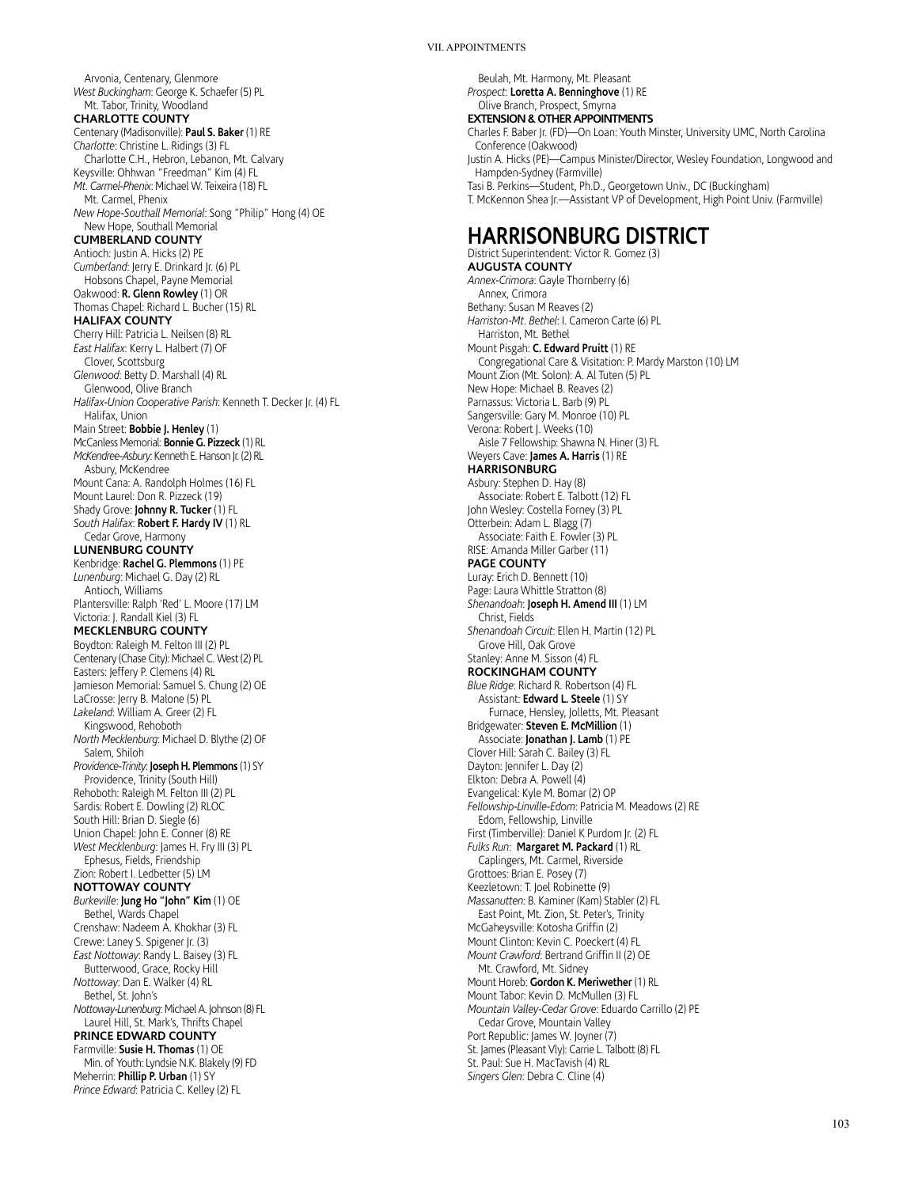Arvonia, Centenary, Glenmore *West Buckingham*: George K. Schaefer (5) PL Mt. Tabor, Trinity, Woodland **CHARLOTTE COUNTY** Centenary (Madisonville): **Paul S. Baker** (1) RE *Charlotte*: Christine L. Ridings (3) FL Charlotte C.H., Hebron, Lebanon, Mt. Calvary Keysville: Ohhwan "Freedman" Kim (4) FL *Mt. Carmel-Phenix*: Michael W. Teixeira (18) FL Mt. Carmel, Phenix *New Hope-Southall Memorial*: Song "Philip" Hong (4) OE New Hope, Southall Memorial **CUMBERLAND COUNTY** Antioch: Justin A. Hicks (2) PE *Cumberland*: Jerry E. Drinkard Jr. (6) PL Hobsons Chapel, Payne Memorial Oakwood: **R. Glenn Rowley** (1) OR Thomas Chapel: Richard L. Bucher (15) RL **HALIFAX COUNTY** Cherry Hill: Patricia L. Neilsen (8) RL *East Halifax*: Kerry L. Halbert (7) OF Clover, Scottsburg *Glenwood*: Betty D. Marshall (4) RL Glenwood, Olive Branch *Halifax-Union Cooperative Parish*: Kenneth T. Decker Jr. (4) FL Halifax, Union Main Street: **Bobbie J. Henley** (1) McCanless Memorial: **Bonnie G. Pizzeck** (1) RL *McKendree-Asbury*: Kenneth E. Hanson Jr. (2) RL Asbury, McKendree Mount Cana: A. Randolph Holmes (16) FL Mount Laurel: Don R. Pizzeck (19) Shady Grove: **Johnny R. Tucker** (1) FL *South Halifax*: **Robert F. Hardy IV** (1) RL Cedar Grove, Harmony **LUNENBURG COUNTY** Kenbridge: **Rachel G. Plemmons** (1) PE *Lunenburg*: Michael G. Day (2) RL Antioch, Williams Plantersville: Ralph 'Red' L. Moore (17) LM Victoria: J. Randall Kiel (3) FL **MECKLENBURG COUNTY** Boydton: Raleigh M. Felton III (2) PL Centenary (Chase City): Michael C. West (2) PL Easters: Jeffery P. Clemens (4) RL Jamieson Memorial: Samuel S. Chung (2) OE LaCrosse: Jerry B. Malone (5) PL *Lakeland*: William A. Greer (2) FL Kingswood, Rehoboth *North Mecklenburg*: Michael D. Blythe (2) OF Salem, Shiloh *Providence-Trinity*: **Joseph H. Plemmons** (1) SY Providence, Trinity (South Hill) Rehoboth: Raleigh M. Felton III (2) PL Sardis: Robert E. Dowling (2) RLOC South Hill: Brian D. Siegle (6) Union Chapel: John E. Conner (8) RE *West Mecklenburg*: James H. Fry III (3) PL Ephesus, Fields, Friendship Zion: Robert I. Ledbetter (5) LM **NOTTOWAY COUNTY** *Burkeville*: **Jung Ho "John" Kim** (1) OE Bethel, Wards Chapel Crenshaw: Nadeem A. Khokhar (3) FL Crewe: Laney S. Spigener Jr. (3) *East Nottoway*: Randy L. Baisey (3) FL Butterwood, Grace, Rocky Hill *Nottoway*: Dan E. Walker (4) RL Bethel, St. John's *Nottoway-Lunenburg*: Michael A. Johnson (8) FL Laurel Hill, St. Mark's, Thrifts Chapel **PRINCE EDWARD COUNTY** Farmville: **Susie H. Thomas** (1) OE Min. of Youth: Lyndsie N.K. Blakely (9) FD Meherrin: **Phillip P. Urban** (1) SY *Prince Edward*: Patricia C. Kelley (2) FL

Beulah, Mt. Harmony, Mt. Pleasant *Prospect*: **Loretta A. Benninghove** (1) RE Olive Branch, Prospect, Smyrna **EXTENSION & OTHER APPOINTMENTS** Charles F. Baber Jr. (FD)—On Loan: Youth Minster, University UMC, North Carolina Conference (Oakwood) Justin A. Hicks (PE)—Campus Minister/Director, Wesley Foundation, Longwood and Hampden-Sydney (Farmville) Tasi B. Perkins—Student, Ph.D., Georgetown Univ., DC (Buckingham) T. McKennon Shea Jr.—Assistant VP of Development, High Point Univ. (Farmville)

# **HARRISONBURG DISTRICT**

District Superintendent: Victor R. Gomez (3) **AUGUSTA COUNTY** *Annex-Crimora*: Gayle Thornberry (6) Annex, Crimora Bethany: Susan M Reaves (2) *Harriston-Mt. Bethel*: I. Cameron Carte (6) PL Harriston, Mt. Bethel Mount Pisgah: **C. Edward Pruitt** (1) RE Congregational Care & Visitation: P. Mardy Marston (10) LM Mount Zion (Mt. Solon): A. Al Tuten (5) PL New Hope: Michael B. Reaves (2) Parnassus: Victoria L. Barb (9) PL Sangersville: Gary M. Monroe (10) PL Verona: Robert J. Weeks (10) Aisle 7 Fellowship: Shawna N. Hiner (3) FL Weyers Cave: **James A. Harris** (1) RE **HARRISONBURG** Asbury: Stephen D. Hay (8) Associate: Robert E. Talbott (12) FL John Wesley: Costella Forney (3) PL Otterbein: Adam L. Blagg (7) Associate: Faith E. Fowler (3) PL RISE: Amanda Miller Garber (11) **PAGE COUNTY** Luray: Erich D. Bennett (10) Page: Laura Whittle Stratton (8) *Shenandoah*: **Joseph H. Amend III** (1) LM Christ, Fields *Shenandoah Circuit*: Ellen H. Martin (12) PL Grove Hill, Oak Grove Stanley: Anne M. Sisson (4) FL **ROCKINGHAM COUNTY** *Blue Ridge*: Richard R. Robertson (4) FL Assistant: **Edward L. Steele** (1) SY Furnace, Hensley, Jolletts, Mt. Pleasant Bridgewater: **Steven E. McMillion** (1) Associate: **Jonathan J. Lamb** (1) PE Clover Hill: Sarah C. Bailey (3) FL Dayton: Jennifer L. Day (2) Elkton: Debra A. Powell (4) Evangelical: Kyle M. Bomar (2) OP *Fellowship-Linville-Edom*: Patricia M. Meadows (2) RE Edom, Fellowship, Linville First (Timberville): Daniel K Purdom Jr. (2) FL *Fulks Run*: **Margaret M. Packard** (1) RL Caplingers, Mt. Carmel, Riverside Grottoes: Brian E. Posey (7) Keezletown: T. Joel Robinette (9) *Massanutten*: B. Kaminer (Kam) Stabler (2) FL East Point, Mt. Zion, St. Peter's, Trinity McGaheysville: Kotosha Griffin (2) Mount Clinton: Kevin C. Poeckert (4) FL *Mount Crawford*: Bertrand Griffin II (2) OE Mt. Crawford, Mt. Sidney Mount Horeb: **Gordon K. Meriwether** (1) RL Mount Tabor: Kevin D. McMullen (3) FL *Mountain Valley-Cedar Grove*: Eduardo Carrillo (2) PE Cedar Grove, Mountain Valley Port Republic: James W. Joyner (7) St. James (Pleasant Vly): Carrie L. Talbott (8) FL St. Paul: Sue H. MacTavish (4) RL *Singers Glen*: Debra C. Cline (4)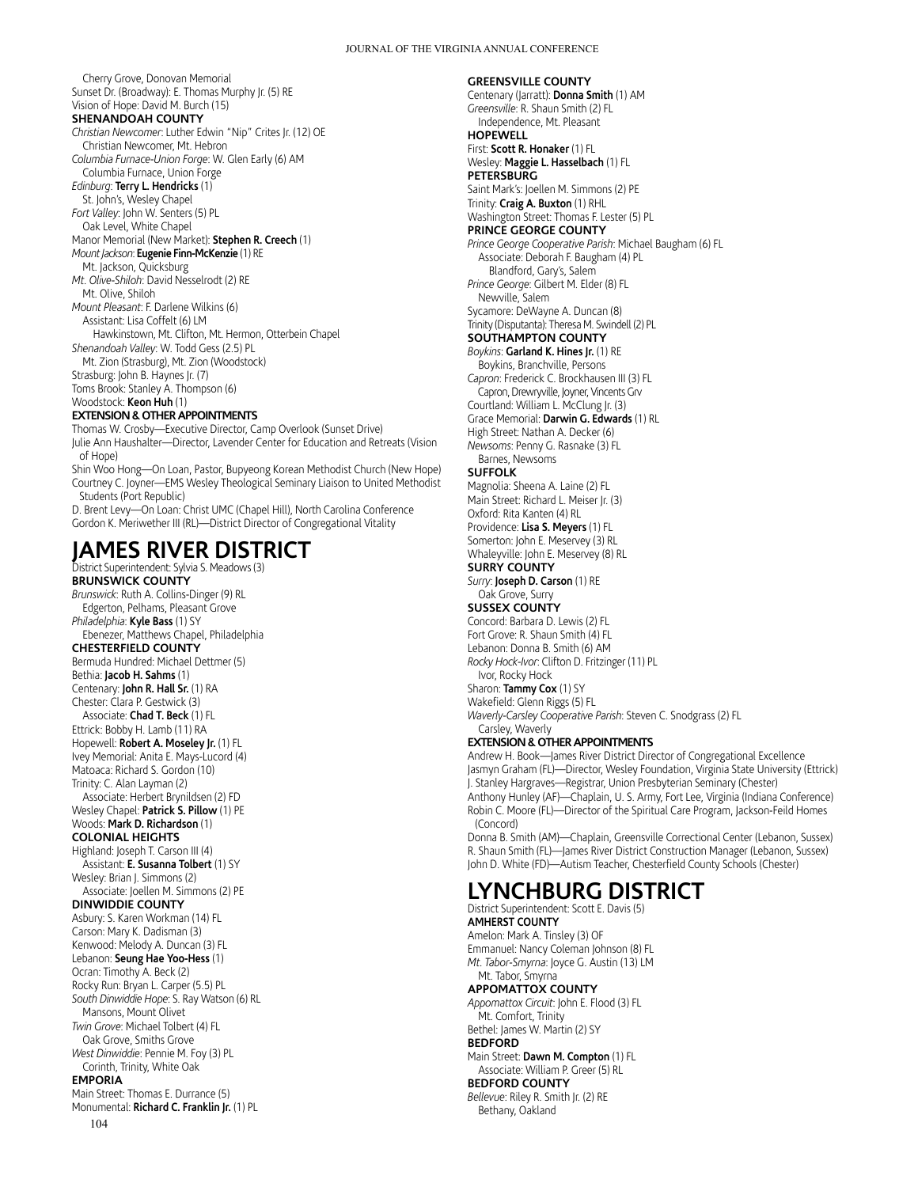**GREENSVILLE COUNTY**

Cherry Grove, Donovan Memorial Sunset Dr. (Broadway): E. Thomas Murphy Jr. (5) RE Vision of Hope: David M. Burch (15)

#### **SHENANDOAH COUNTY**

*Christian Newcomer*: Luther Edwin "Nip" Crites Jr. (12) OE Christian Newcomer, Mt. Hebron

*Columbia Furnace-Union Forge*: W. Glen Early (6) AM Columbia Furnace, Union Forge

*Edinburg*: **Terry L. Hendricks** (1) St. John's, Wesley Chapel

*Fort Valley*: John W. Senters (5) PL Oak Level, White Chapel

Manor Memorial (New Market): **Stephen R. Creech** (1) *Mount Jackson*: **Eugenie Finn-McKenzie** (1) RE

### Mt. Jackson, Quicksburg

*Mt. Olive-Shiloh*: David Nesselrodt (2) RE Mt. Olive, Shiloh

*Mount Pleasant*: F. Darlene Wilkins (6)

Assistant: Lisa Coffelt (6) LM

 Hawkinstown, Mt. Clifton, Mt. Hermon, Otterbein Chapel *Shenandoah Valley*: W. Todd Gess (2.5) PL

Mt. Zion (Strasburg), Mt. Zion (Woodstock)

Strasburg: John B. Haynes Jr. (7) Toms Brook: Stanley A. Thompson (6)

Woodstock: **Keon Huh** (1)

### **EXTENSION & OTHER APPOINTMENTS**

Thomas W. Crosby—Executive Director, Camp Overlook (Sunset Drive) Julie Ann Haushalter—Director, Lavender Center for Education and Retreats (Vision of Hope)

Shin Woo Hong—On Loan, Pastor, Bupyeong Korean Methodist Church (New Hope) Courtney C. Joyner—EMS Wesley Theological Seminary Liaison to United Methodist Students (Port Republic)

D. Brent Levy—On Loan: Christ UMC (Chapel Hill), North Carolina Conference Gordon K. Meriwether III (RL)—District Director of Congregational Vitality

### **JAMES RIVER DISTRICT** District Superintendent: Sylvia S. Meadows (3)

**BRUNSWICK COUNTY** *Brunswick*: Ruth A. Collins-Dinger (9) RL

Edgerton, Pelhams, Pleasant Grove *Philadelphia*: **Kyle Bass** (1) SY Ebenezer, Matthews Chapel, Philadelphia **CHESTERFIELD COUNTY** Bermuda Hundred: Michael Dettmer (5) Bethia: **Jacob H. Sahms** (1) Centenary: **John R. Hall Sr.** (1) RA Chester: Clara P. Gestwick (3) Associate: **Chad T. Beck** (1) FL Ettrick: Bobby H. Lamb (11) RA Hopewell: **Robert A. Moseley Jr.** (1) FL Ivey Memorial: Anita E. Mays-Lucord (4) Matoaca: Richard S. Gordon (10) Trinity: C. Alan Layman (2) Associate: Herbert Brynildsen (2) FD Wesley Chapel: **Patrick S. Pillow** (1) PE Woods: **Mark D. Richardson** (1) **COLONIAL HEIGHTS** Highland: Joseph T. Carson III (4) Assistant: **E. Susanna Tolbert** (1) SY Wesley: Brian J. Simmons (2) Associate: Joellen M. Simmons (2) PE **DINWIDDIE COUNTY** Asbury: S. Karen Workman (14) FL Carson: Mary K. Dadisman (3) Kenwood: Melody A. Duncan (3) FL Lebanon: **Seung Hae Yoo-Hess** (1) Ocran: Timothy A. Beck (2) Rocky Run: Bryan L. Carper (5.5) PL *South Dinwiddie Hope*: S. Ray Watson (6) RL Mansons, Mount Olivet *Twin Grove*: Michael Tolbert (4) FL Oak Grove, Smiths Grove *West Dinwiddie*: Pennie M. Foy (3) PL Corinth, Trinity, White Oak **EMPORIA** Main Street: Thomas E. Durrance (5)

104 Monumental: **Richard C. Franklin Jr.** (1) PL

Centenary (Jarratt): **Donna Smith** (1) AM *Greensville*: R. Shaun Smith (2) FL Independence, Mt. Pleasant **HOPEWELL** First: **Scott R. Honaker** (1) FL Wesley: **Maggie L. Hasselbach** (1) FL **PETERSBURG** Saint Mark's: Joellen M. Simmons (2) PE Trinity: **Craig A. Buxton** (1) RHL Washington Street: Thomas F. Lester (5) PL **PRINCE GEORGE COUNTY** *Prince George Cooperative Parish*: Michael Baugham (6) FL Associate: Deborah F. Baugham (4) PL Blandford, Gary's, Salem *Prince George*: Gilbert M. Elder (8) FL Newville, Salem Sycamore: DeWayne A. Duncan (8) Trinity (Disputanta): Theresa M. Swindell (2) PL **SOUTHAMPTON COUNTY** *Boykins*: **Garland K. Hines Jr.** (1) RE Boykins, Branchville, Persons *Capron*: Frederick C. Brockhausen III (3) FL Capron, Drewryville, Joyner, Vincents Grv Courtland: William L. McClung Jr. (3) Grace Memorial: **Darwin G. Edwards** (1) RL High Street: Nathan A. Decker (6) *Newsoms*: Penny G. Rasnake (3) FL Barnes, Newsoms **SUFFOLK** Magnolia: Sheena A. Laine (2) FL Main Street: Richard L. Meiser Jr. (3) Oxford: Rita Kanten (4) RL Providence: **Lisa S. Meyers** (1) FL Somerton: John E. Meservey (3) RL Whaleyville: John E. Meservey (8) RL **SURRY COUNTY** *Surry*: **Joseph D. Carson** (1) RE Oak Grove, Surry **SUSSEX COUNTY** Concord: Barbara D. Lewis (2) FL Fort Grove: R. Shaun Smith (4) FL Lebanon: Donna B. Smith (6) AM *Rocky Hock-Ivor*: Clifton D. Fritzinger (11) PL

Ivor, Rocky Hock Sharon: **Tammy Cox** (1) SY Wakefield: Glenn Riggs (5) FL *Waverly-Carsley Cooperative Parish*: Steven C. Snodgrass (2) FL

### Carsley, Waverly **EXTENSION & OTHER APPOINTMENTS**

Andrew H. Book—James River District Director of Congregational Excellence Jasmyn Graham (FL)—Director, Wesley Foundation, Virginia State University (Ettrick) J. Stanley Hargraves—Registrar, Union Presbyterian Seminary (Chester) Anthony Hunley (AF)—Chaplain, U. S. Army, Fort Lee, Virginia (Indiana Conference) Robin C. Moore (FL)—Director of the Spiritual Care Program, Jackson-Feild Homes (Concord)

Donna B. Smith (AM)—Chaplain, Greensville Correctional Center (Lebanon, Sussex) R. Shaun Smith (FL)—James River District Construction Manager (Lebanon, Sussex) John D. White (FD)—Autism Teacher, Chesterfield County Schools (Chester)

# **LYNCHBURG DISTRICT**

District Superintendent: Scott E. Davis (5) **AMHERST COUNTY** Amelon: Mark A. Tinsley (3) OF Emmanuel: Nancy Coleman Johnson (8) FL *Mt. Tabor-Smyrna*: Joyce G. Austin (13) LM Mt. Tabor, Smyrna **APPOMATTOX COUNTY** *Appomattox Circuit*: John E. Flood (3) FL Mt. Comfort, Trinity Bethel: James W. Martin (2) SY **BEDFORD** Main Street: **Dawn M. Compton** (1) FL Associate: William P. Greer (5) RL **BEDFORD COUNTY** *Bellevue*: Riley R. Smith Jr. (2) RE Bethany, Oakland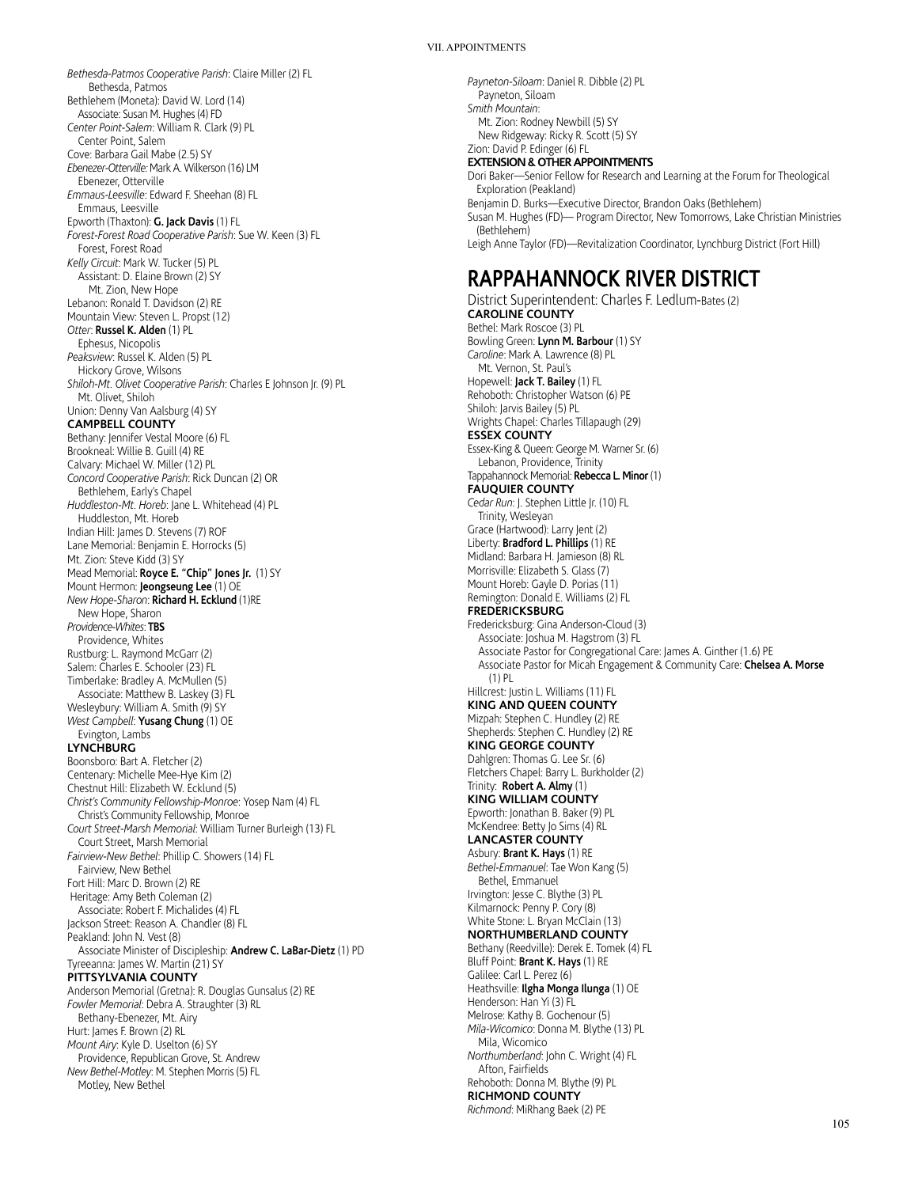#### VII. APPOINTMENTS

*Bethesda-Patmos Cooperative Parish*: Claire Miller (2) FL Bethesda, Patmos Bethlehem (Moneta): David W. Lord (14) Associate: Susan M. Hughes (4) FD *Center Point-Salem*: William R. Clark (9) PL Center Point, Salem Cove: Barbara Gail Mabe (2.5) SY *Ebenezer-Otterville:* Mark A. Wilkerson (16) LM Ebenezer, Otterville *Emmaus-Leesville*: Edward F. Sheehan (8) FL Emmaus, Leesville Epworth (Thaxton): **G. Jack Davis** (1) FL *Forest-Forest Road Cooperative Parish*: Sue W. Keen (3) FL Forest, Forest Road *Kelly Circuit*: Mark W. Tucker (5) PL Assistant: D. Elaine Brown (2) SY Mt. Zion, New Hope Lebanon: Ronald T. Davidson (2) RE Mountain View: Steven L. Propst (12) *Otter*: **Russel K. Alden** (1) PL Ephesus, Nicopolis *Peaksview*: Russel K. Alden (5) PL Hickory Grove, Wilsons *Shiloh-Mt. Olivet Cooperative Parish*: Charles E Johnson Jr. (9) PL Mt. Olivet, Shiloh Union: Denny Van Aalsburg (4) SY **CAMPBELL COUNTY** Bethany: Jennifer Vestal Moore (6) FL Brookneal: Willie B. Guill (4) RE Calvary: Michael W. Miller (12) PL *Concord Cooperative Parish*: Rick Duncan (2) OR Bethlehem, Early's Chapel *Huddleston-Mt. Horeb*: Jane L. Whitehead (4) PL Huddleston, Mt. Horeb Indian Hill: James D. Stevens (7) ROF Lane Memorial: Benjamin E. Horrocks (5) Mt. Zion: Steve Kidd (3) SY Mead Memorial: **Royce E. "Chip" Jones Jr.** (1) SY Mount Hermon: **Jeongseung Lee** (1) OE *New Hope-Sharon*: **Richard H. Ecklund** (1)RE New Hope, Sharon *Providence-Whites*: **TBS**  Providence, Whites Rustburg: L. Raymond McGarr (2) Salem: Charles E. Schooler (23) FL Timberlake: Bradley A. McMullen (5) Associate: Matthew B. Laskey (3) FL Wesleybury: William A. Smith (9) SY *West Campbell*: **Yusang Chung** (1) OE Evington, Lambs **LYNCHBURG** Boonsboro: Bart A. Fletcher (2) Centenary: Michelle Mee-Hye Kim (2) Chestnut Hill: Elizabeth W. Ecklund (5) *Christ's Community Fellowship-Monroe*: Yosep Nam (4) FL Christ's Community Fellowship, Monroe *Court Street-Marsh Memorial*: William Turner Burleigh (13) FL Court Street, Marsh Memorial *Fairview-New Bethel*: Phillip C. Showers (14) FL Fairview, New Bethel Fort Hill: Marc D. Brown (2) RE Heritage: Amy Beth Coleman (2) Associate: Robert F. Michalides (4) FL Jackson Street: Reason A. Chandler (8) FL Peakland: John N. Vest (8) Associate Minister of Discipleship: **Andrew C. LaBar-Dietz** (1) PD Tyreeanna: James W. Martin (21) SY **PITTSYLVANIA COUNTY** Anderson Memorial (Gretna): R. Douglas Gunsalus (2) RE *Fowler Memorial*: Debra A. Straughter (3) RL Bethany-Ebenezer, Mt. Airy Hurt: James F. Brown (2) RL *Mount Airy*: Kyle D. Uselton (6) SY Providence, Republican Grove, St. Andrew *New Bethel-Motley*: M. Stephen Morris (5) FL Motley, New Bethel

*Payneton-Siloam*: Daniel R. Dibble (2) PL Payneton, Siloam *Smith Mountain*: Mt. Zion: Rodney Newbill (5) SY New Ridgeway: Ricky R. Scott (5) SY Zion: David P. Edinger (6) FL **EXTENSION & OTHER APPOINTMENTS** Dori Baker—Senior Fellow for Research and Learning at the Forum for Theological Exploration (Peakland) Benjamin D. Burks—Executive Director, Brandon Oaks (Bethlehem) Susan M. Hughes (FD)— Program Director, New Tomorrows, Lake Christian Ministries (Bethlehem) Leigh Anne Taylor (FD)—Revitalization Coordinator, Lynchburg District (Fort Hill)

# **RAPPAHANNOCK RIVER DISTRICT**

District Superintendent: Charles F. Ledlum-Bates (2) **CAROLINE COUNTY** Bethel: Mark Roscoe (3) PL Bowling Green: **Lynn M. Barbour** (1) SY *Caroline*: Mark A. Lawrence (8) PL Mt. Vernon, St. Paul's Hopewell: **Jack T. Bailey** (1) FL Rehoboth: Christopher Watson (6) PE Shiloh: Jarvis Bailey (5) PL Wrights Chapel: Charles Tillapaugh (29) **ESSEX COUNTY** Essex-King & Queen: George M. Warner Sr. (6) Lebanon, Providence, Trinity Tappahannock Memorial: **Rebecca L. Minor** (1) **FAUQUIER COUNTY** *Cedar Run*: J. Stephen Little Jr. (10) FL Trinity, Wesleyan Grace (Hartwood): Larry Jent (2) Liberty: **Bradford L. Phillips** (1) RE Midland: Barbara H. Jamieson (8) RL Morrisville: Elizabeth S. Glass (7) Mount Horeb: Gayle D. Porias (11) Remington: Donald E. Williams (2) FL **FREDERICKSBURG** Fredericksburg: Gina Anderson-Cloud (3) Associate: Joshua M. Hagstrom (3) FL Associate Pastor for Congregational Care: James A. Ginther (1.6) PE Associate Pastor for Micah Engagement & Community Care: **Chelsea A. Morse** (1) PL Hillcrest: Justin L. Williams (11) FL **KING AND QUEEN COUNTY** Mizpah: Stephen C. Hundley (2) RE Shepherds: Stephen C. Hundley (2) RE **KING GEORGE COUNTY** Dahlgren: Thomas G. Lee Sr. (6) Fletchers Chapel: Barry L. Burkholder (2) Trinity: **Robert A. Almy** (1) **KING WILLIAM COUNTY** Epworth: Jonathan B. Baker (9) PL McKendree: Betty Jo Sims (4) RL **LANCASTER COUNTY** Asbury: **Brant K. Hays** (1) RE *Bethel-Emmanuel*: Tae Won Kang (5) Bethel, Emmanuel Irvington: Jesse C. Blythe (3) PL Kilmarnock: Penny P. Cory (8) White Stone: L. Bryan McClain (13) **NORTHUMBERLAND COUNTY** Bethany (Reedville): Derek E. Tomek (4) FL Bluff Point: **Brant K. Hays** (1) RE Galilee: Carl L. Perez (6) Heathsville: **Ilgha Monga Ilunga** (1) OE Henderson: Han Yi (3) FL Melrose: Kathy B. Gochenour (5) *Mila-Wicomico*: Donna M. Blythe (13) PL Mila, Wicomico *Northumberland*: John C. Wright (4) FL Afton, Fairfields Rehoboth: Donna M. Blythe (9) PL **RICHMOND COUNTY** *Richmond*: MiRhang Baek (2) PE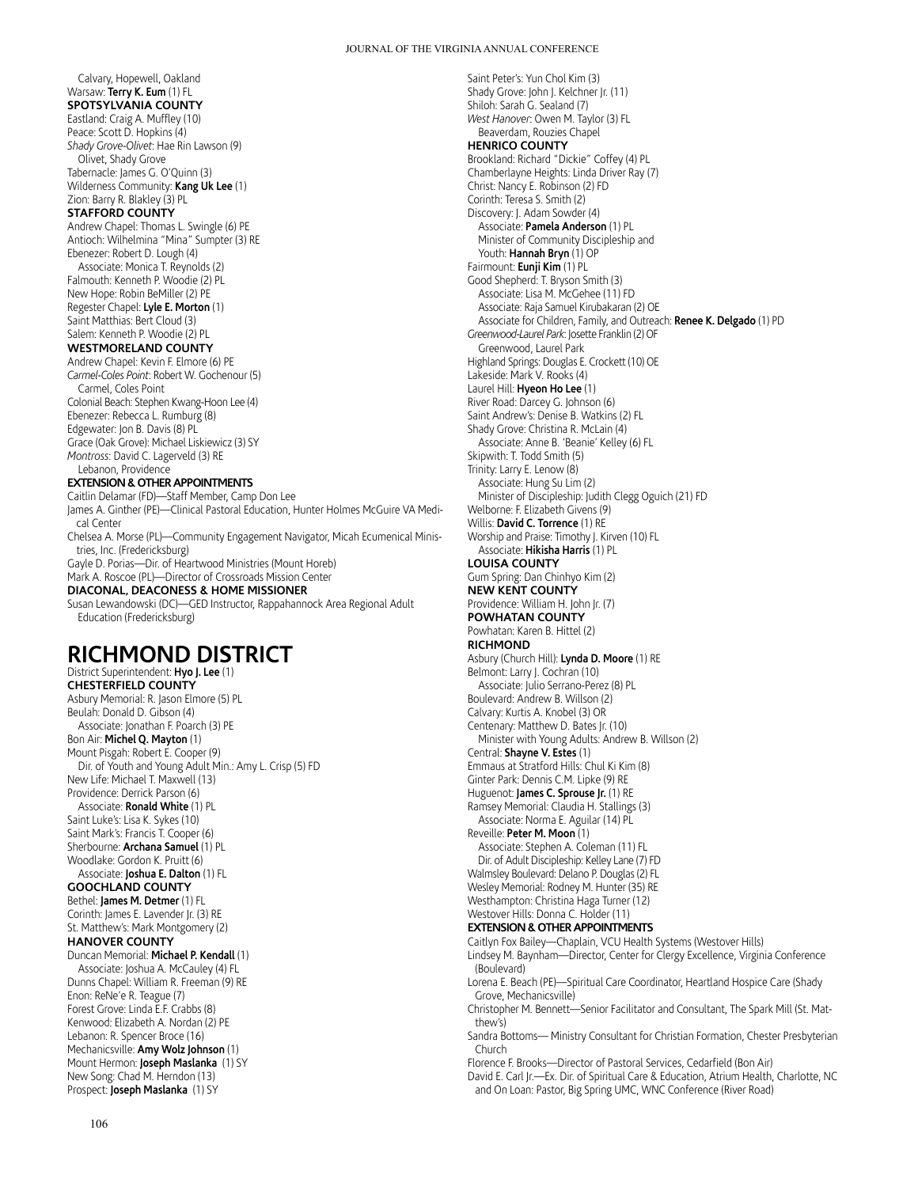Saint Peter's: Yun Chol Kim (3)

Calvary, Hopewell, Oakland Warsaw: **Terry K. Eum** (1) FL **SPOTSYLVANIA COUNTY** Eastland: Craig A. Muffley (10) Peace: Scott D. Hopkins (4) *Shady Grove-Olivet*: Hae Rin Lawson (9) Olivet, Shady Grove Tabernacle: James G. O'Quinn (3) Wilderness Community: **Kang Uk Lee** (1) Zion: Barry R. Blakley (3) PL **STAFFORD COUNTY** Andrew Chapel: Thomas L. Swingle (6) PE Antioch: Wilhelmina "Mina" Sumpter (3) RE Ebenezer: Robert D. Lough (4) Associate: Monica T. Reynolds (2) Falmouth: Kenneth P. Woodie (2) PL New Hope: Robin BeMiller (2) PE Regester Chapel: **Lyle E. Morton** (1) Saint Matthias: Bert Cloud (3) Salem: Kenneth P. Woodie (2) PL **WESTMORELAND COUNTY** Andrew Chapel: Kevin F. Elmore (6) PE *Carmel-Coles Point*: Robert W. Gochenour (5) Carmel, Coles Point Colonial Beach: Stephen Kwang-Hoon Lee (4) Ebenezer: Rebecca L. Rumburg (8) Edgewater: Jon B. Davis (8) PL Grace (Oak Grove): Michael Liskiewicz (3) SY *Montross*: David C. Lagerveld (3) RE Lebanon, Providence **EXTENSION & OTHER APPOINTMENTS** Caitlin Delamar (FD)—Staff Member, Camp Don Lee James A. Ginther (PE)—Clinical Pastoral Education, Hunter Holmes McGuire VA Medical Center Chelsea A. Morse (PL)—Community Engagement Navigator, Micah Ecumenical Ministries, Inc. (Fredericksburg)

Gayle D. Porias—Dir. of Heartwood Ministries (Mount Horeb) Mark A. Roscoe (PL)—Director of Crossroads Mission Center **DIACONAL, DEACONESS & HOME MISSIONER**

**RICHMOND DISTRICT**

Dir. of Youth and Young Adult Min.: Amy L. Crisp (5) FD

Education (Fredericksburg)

District Superintendent: **Hyo J. Lee** (1) **CHESTERFIELD COUNTY** Asbury Memorial: R. Jason Elmore (5) PL Beulah: Donald D. Gibson (4) Associate: Jonathan F. Poarch (3) PE Bon Air: **Michel Q. Mayton** (1) Mount Pisgah: Robert E. Cooper (9)

New Life: Michael T. Maxwell (13) Providence: Derrick Parson (6) Associate: **Ronald White** (1) PL Saint Luke's: Lisa K. Sykes (10) Saint Mark's: Francis T. Cooper (6) Sherbourne: **Archana Samuel** (1) PL Woodlake: Gordon K. Pruitt (6) Associate: **Joshua E. Dalton** (1) FL **GOOCHLAND COUNTY** Bethel: **James M. Detmer** (1) FL Corinth: James E. Lavender Jr. (3) RE St. Matthew's: Mark Montgomery (2)

**HANOVER COUNTY**

Enon: ReNe'e R. Teague (7) Forest Grove: Linda E.F. Crabbs (8) Kenwood: Elizabeth A. Nordan (2) PE Lebanon: R. Spencer Broce (16) Mechanicsville: **Amy Wolz Johnson** (1) Mount Hermon: **Joseph Maslanka** (1) SY New Song: Chad M. Herndon (13) Prospect: **Joseph Maslanka** (1) SY

Duncan Memorial: **Michael P. Kendall** (1) Associate: Joshua A. McCauley (4) FL Dunns Chapel: William R. Freeman (9) RE

Susan Lewandowski (DC)—GED Instructor, Rappahannock Area Regional Adult

Shady Grove: John J. Kelchner Jr. (11) Shiloh: Sarah G. Sealand (7) *West Hanover*: Owen M. Taylor (3) FL Beaverdam, Rouzies Chapel **HENRICO COUNTY** Brookland: Richard "Dickie" Coffey (4) PL Chamberlayne Heights: Linda Driver Ray (7) Christ: Nancy E. Robinson (2) FD Corinth: Teresa S. Smith (2) Discovery: J. Adam Sowder (4) Associate: **Pamela Anderson** (1) PL Minister of Community Discipleship and Youth: Hannah Bryn (1) OP Fairmount: **Eunji Kim** (1) PL Good Shepherd: T. Bryson Smith (3) Associate: Lisa M. McGehee (11) FD Associate: Raja Samuel Kirubakaran (2) OE Associate for Children, Family, and Outreach: **Renee K. Delgado** (1) PD *Greenwood-Laurel Park*: Josette Franklin (2) OF Greenwood, Laurel Park Highland Springs: Douglas E. Crockett (10) OE Lakeside: Mark V. Rooks (4) Laurel Hill: **Hyeon Ho Lee** (1) River Road: Darcey G. Johnson (6) Saint Andrew's: Denise B. Watkins (2) FL Shady Grove: Christina R. McLain (4) Associate: Anne B. 'Beanie' Kelley (6) FL Skipwith: T. Todd Smith (5) Trinity: Larry E. Lenow (8) Associate: Hung Su Lim (2) Minister of Discipleship: Judith Clegg Oguich (21) FD Welborne: F. Elizabeth Givens (9) Willis: **David C. Torrence** (1) RE Worship and Praise: Timothy J. Kirven (10) FL Associate: **Hikisha Harris** (1) PL **LOUISA COUNTY** Gum Spring: Dan Chinhyo Kim (2) **NEW KENT COUNTY** Providence: William H. John Jr. (7) **POWHATAN COUNTY** Powhatan: Karen B. Hittel (2) **RICHMOND** Asbury (Church Hill): **Lynda D. Moore** (1) RE Belmont: Larry J. Cochran (10) Associate: Julio Serrano-Perez (8) PL Boulevard: Andrew B. Willson (2) Calvary: Kurtis A. Knobel (3) OR Centenary: Matthew D. Bates Jr. (10) Minister with Young Adults: Andrew B. Willson (2) Central: **Shayne V. Estes** (1) Emmaus at Stratford Hills: Chul Ki Kim (8) Ginter Park: Dennis C.M. Lipke (9) RE Huguenot: **James C. Sprouse Jr.** (1) RE Ramsey Memorial: Claudia H. Stallings (3) Associate: Norma E. Aguilar (14) PL Reveille: **Peter M. Moon** (1) Associate: Stephen A. Coleman (11) FL Dir. of Adult Discipleship: Kelley Lane (7) FD Walmsley Boulevard: Delano P. Douglas (2) FL Wesley Memorial: Rodney M. Hunter (35) RE Westhampton: Christina Haga Turner (12) Westover Hills: Donna C. Holder (11) **EXTENSION & OTHER APPOINTMENTS** Caitlyn Fox Bailey—Chaplain, VCU Health Systems (Westover Hills) Lindsey M. Baynham—Director, Center for Clergy Excellence, Virginia Conference (Boulevard) Lorena E. Beach (PE)—Spiritual Care Coordinator, Heartland Hospice Care (Shady Grove, Mechanicsville) Christopher M. Bennett—Senior Facilitator and Consultant, The Spark Mill (St. Matthew's) Sandra Bottoms— Ministry Consultant for Christian Formation, Chester Presbyterian Church Florence F. Brooks—Director of Pastoral Services, Cedarfield (Bon Air)

David E. Carl Jr.-Ex. Dir. of Spiritual Care & Education, Atrium Health, Charlotte, NC and On Loan: Pastor, Big Spring UMC, WNC Conference (River Road)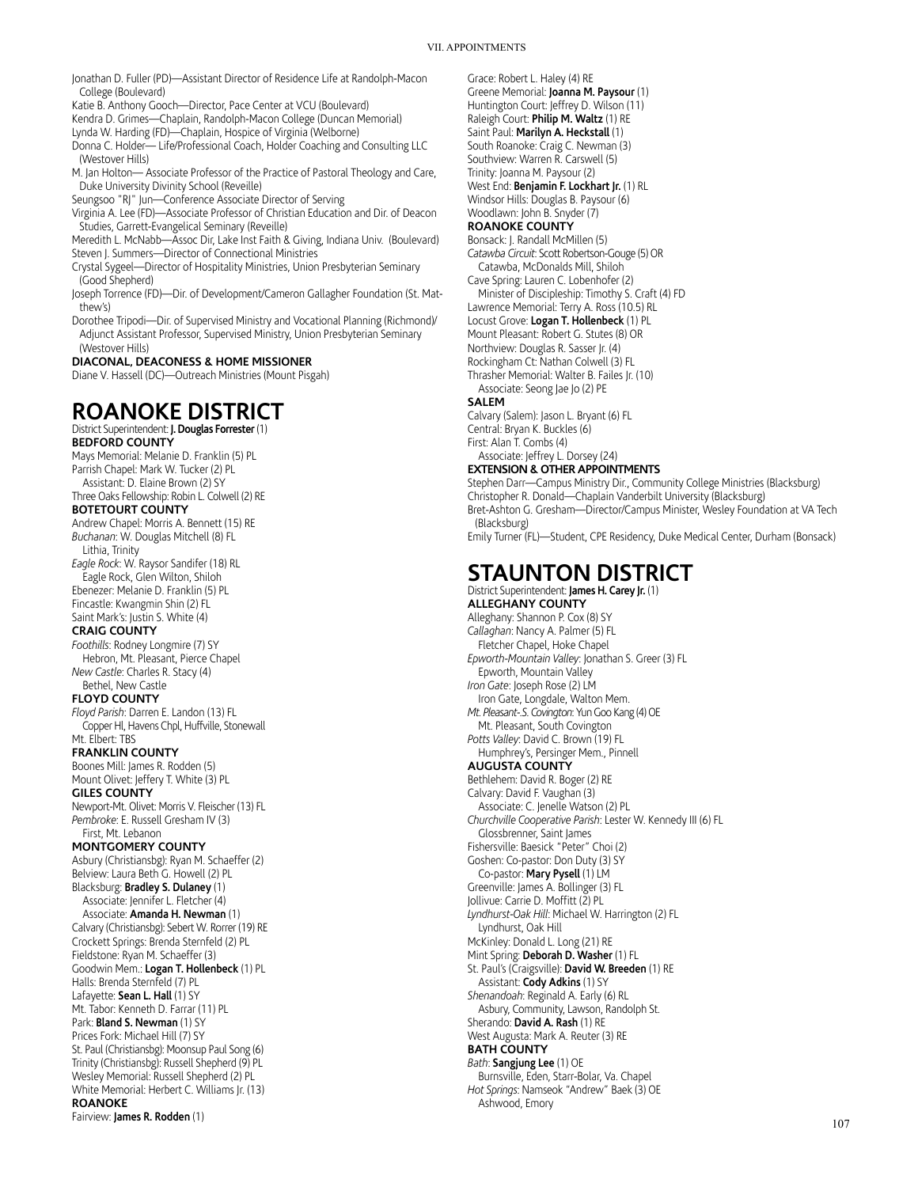### VII. APPOINTMENTS

Jonathan D. Fuller (PD)—Assistant Director of Residence Life at Randolph-Macon College (Boulevard)

Katie B. Anthony Gooch—Director, Pace Center at VCU (Boulevard)

Kendra D. Grimes—Chaplain, Randolph-Macon College (Duncan Memorial)

Lynda W. Harding (FD)—Chaplain, Hospice of Virginia (Welborne) Donna C. Holder— Life/Professional Coach, Holder Coaching and Consulting LLC

(Westover Hills)

- M. Jan Holton— Associate Professor of the Practice of Pastoral Theology and Care, Duke University Divinity School (Reveille)
- Seungsoo "RJ" Jun—Conference Associate Director of Serving

Virginia A. Lee (FD)—Associate Professor of Christian Education and Dir. of Deacon Studies, Garrett-Evangelical Seminary (Reveille)

- Meredith L. McNabb—Assoc Dir, Lake Inst Faith & Giving, Indiana Univ. (Boulevard) Steven J. Summers-Director of Connectional Ministries
- Crystal Sygeel—Director of Hospitality Ministries, Union Presbyterian Seminary (Good Shepherd)
- Joseph Torrence (FD)—Dir. of Development/Cameron Gallagher Foundation (St. Matthew's)
- Dorothee Tripodi—Dir. of Supervised Ministry and Vocational Planning (Richmond)/ Adjunct Assistant Professor, Supervised Ministry, Union Presbyterian Seminary (Westover Hills)

**DIACONAL, DEACONESS & HOME MISSIONER**

Diane V. Hassell (DC)—Outreach Ministries (Mount Pisgah)

# **ROANOKE DISTRICT**

### District Superintendent: **J. Douglas Forrester** (1) **BEDFORD COUNTY**

Mays Memorial: Melanie D. Franklin (5) PL Parrish Chapel: Mark W. Tucker (2) PL

Assistant: D. Elaine Brown (2) SY Three Oaks Fellowship: Robin L. Colwell (2) RE

### **BOTETOURT COUNTY**

Andrew Chapel: Morris A. Bennett (15) RE *Buchanan*: W. Douglas Mitchell (8) FL

Lithia, Trinity *Eagle Rock*: W. Raysor Sandifer (18) RL Eagle Rock, Glen Wilton, Shiloh

Ebenezer: Melanie D. Franklin (5) PL Fincastle: Kwangmin Shin (2) FL Saint Mark's: Justin S. White (4)

### **CRAIG COUNTY**

*Foothills*: Rodney Longmire (7) SY Hebron, Mt. Pleasant, Pierce Chapel *New Castle*: Charles R. Stacy (4)

Bethel, New Castle **FLOYD COUNTY**

*Floyd Parish*: Darren E. Landon (13) FL Copper Hl, Havens Chpl, Huffville, Stonewall Mt. Elbert: TBS

**FRANKLIN COUNTY**

Boones Mill: James R. Rodden (5) Mount Olivet: Jeffery T. White (3) PL **GILES COUNTY**

Newport-Mt. Olivet: Morris V. Fleischer (13) FL *Pembroke*: E. Russell Gresham IV (3) First, Mt. Lebanon

### **MONTGOMERY COUNTY**

Asbury (Christiansbg): Ryan M. Schaeffer (2) Belview: Laura Beth G. Howell (2) PL Blacksburg: **Bradley S. Dulaney** (1)

Associate: Jennifer L. Fletcher (4) Associate: **Amanda H. Newman** (1) Calvary (Christiansbg): Sebert W. Rorrer (19) RE Crockett Springs: Brenda Sternfeld (2) PL Fieldstone: Ryan M. Schaeffer (3) Goodwin Mem.: **Logan T. Hollenbeck** (1) PL Halls: Brenda Sternfeld (7) PL Lafayette: **Sean L. Hall** (1) SY Mt. Tabor: Kenneth D. Farrar (11) PL Park: **Bland S. Newman** (1) SY Prices Fork: Michael Hill (7) SY St. Paul (Christiansbg): Moonsup Paul Song (6) Trinity (Christiansbg): Russell Shepherd (9) PL Wesley Memorial: Russell Shepherd (2) PL White Memorial: Herbert C. Williams Jr. (13)

**ROANOKE**

Fairview: **James R. Rodden** (1)

Grace: Robert L. Haley (4) RE Greene Memorial: **Joanna M. Paysour** (1) Huntington Court: Jeffrey D. Wilson (11) Raleigh Court: **Philip M. Waltz** (1) RE Saint Paul: **Marilyn A. Heckstall** (1) South Roanoke: Craig C. Newman (3) Southview: Warren R. Carswell (5) Trinity: Joanna M. Paysour (2) West End: **Benjamin F. Lockhart Jr.** (1) RL Windsor Hills: Douglas B. Paysour (6) Woodlawn: John B. Snyder (7)

### **ROANOKE COUNTY**

Bonsack: J. Randall McMillen (5) *Catawba Circuit*: Scott Robertson-Gouge (5) OR Catawba, McDonalds Mill, Shiloh Cave Spring: Lauren C. Lobenhofer (2) Minister of Discipleship: Timothy S. Craft (4) FD

Lawrence Memorial: Terry A. Ross (10.5) RL

Locust Grove: **Logan T. Hollenbeck** (1) PL Mount Pleasant: Robert G. Stutes (8) OR

Northview: Douglas R. Sasser Jr. (4)

Rockingham Ct: Nathan Colwell (3) FL

Thrasher Memorial: Walter B. Failes Jr. (10)

Associate: Seong Jae Jo (2) PE

### **SALEM**

Calvary (Salem): Jason L. Bryant (6) FL Central: Bryan K. Buckles (6) First: Alan T. Combs (4) Associate: Jeffrey L. Dorsey (24) **EXTENSION & OTHER APPOINTMENTS** Stephen Darr—Campus Ministry Dir., Community College Ministries (Blacksburg) Christopher R. Donald—Chaplain Vanderbilt University (Blacksburg) Bret-Ashton G. Gresham—Director/Campus Minister, Wesley Foundation at VA Tech (Blacksburg)

Emily Turner (FL)—Student, CPE Residency, Duke Medical Center, Durham (Bonsack)

### **STAUNTON DISTRICT** District Superintendent: **James H. Carey Jr.** (1)

**ALLEGHANY COUNTY** Alleghany: Shannon P. Cox (8) SY *Callaghan*: Nancy A. Palmer (5) FL Fletcher Chapel, Hoke Chapel *Epworth-Mountain Valley*: Jonathan S. Greer (3) FL Epworth, Mountain Valley *Iron Gate*: Joseph Rose (2) LM Iron Gate, Longdale, Walton Mem. *Mt. Pleasant-.S. Covington*: Yun Goo Kang (4) OE Mt. Pleasant, South Covington *Potts Valley*: David C. Brown (19) FL Humphrey's, Persinger Mem., Pinnell **AUGUSTA COUNTY** Bethlehem: David R. Boger (2) RE Calvary: David F. Vaughan (3) Associate: C. Jenelle Watson (2) PL *Churchville Cooperative Parish*: Lester W. Kennedy III (6) FL Glossbrenner, Saint James Fishersville: Baesick "Peter" Choi (2) Goshen: Co-pastor: Don Duty (3) SY Co-pastor: **Mary Pysell** (1) LM Greenville: James A. Bollinger (3) FL Jollivue: Carrie D. Moffitt (2) PL *Lyndhurst-Oak Hill*: Michael W. Harrington (2) FL Lyndhurst, Oak Hill McKinley: Donald L. Long (21) RE Mint Spring: **Deborah D. Washer** (1) FL St. Paul's (Craigsville): **David W. Breeden** (1) RE Assistant: **Cody Adkins** (1) SY *Shenandoah*: Reginald A. Early (6) RL Asbury, Community, Lawson, Randolph St. Sherando: **David A. Rash** (1) RE West Augusta: Mark A. Reuter (3) RE **BATH COUNTY** *Bath*: **Sangjung Lee** (1) OE

Burnsville, Eden, Starr-Bolar, Va. Chapel *Hot Springs*: Namseok "Andrew" Baek (3) OE Ashwood, Emory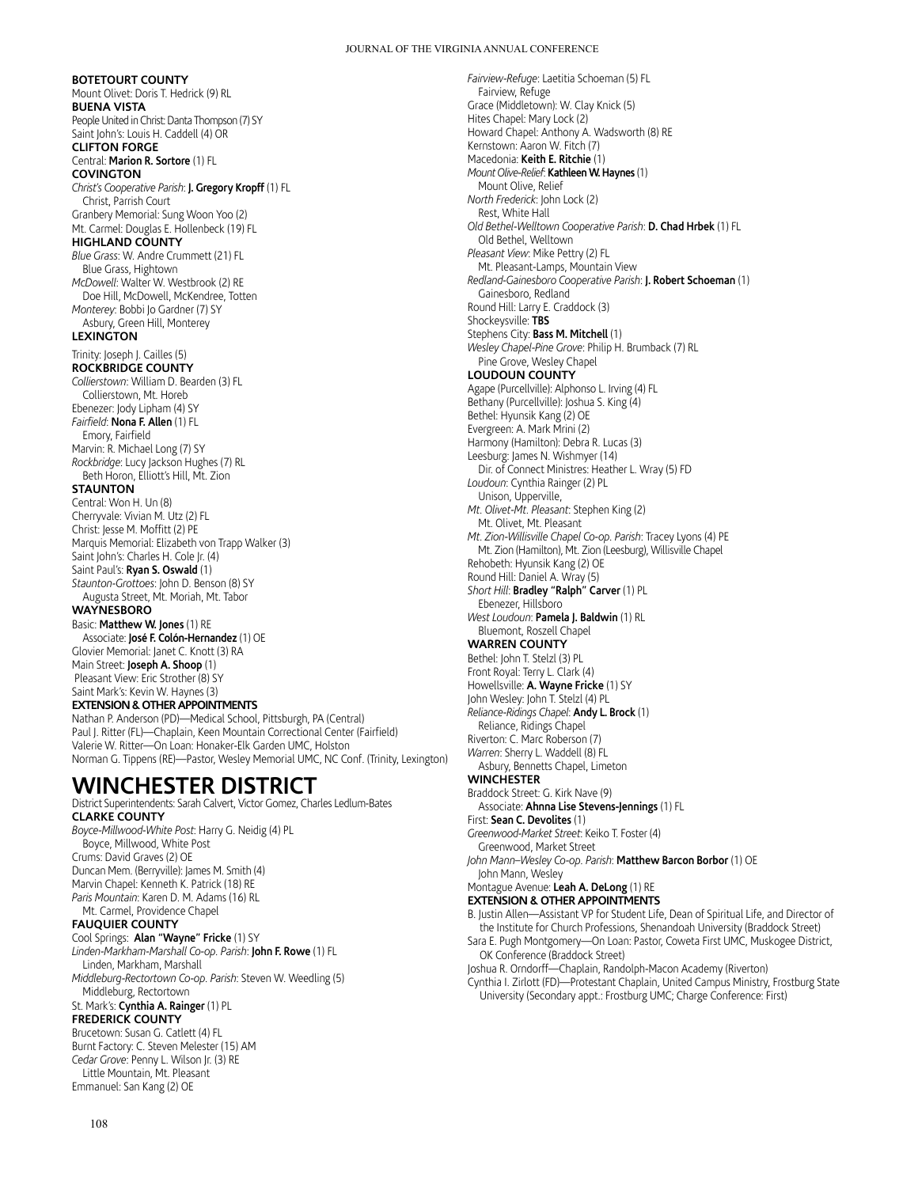### **BOTETOURT COUNTY**

Mount Olivet: Doris T. Hedrick (9) RL **BUENA VISTA** People United in Christ: Danta Thompson (7) SY Saint John's: Louis H. Caddell (4) OR **CLIFTON FORGE** Central: **Marion R. Sortore** (1) FL

### **COVINGTON** *Christ's Cooperative Parish*: **J. Gregory Kropff** (1) FL Christ, Parrish Court

Granbery Memorial: Sung Woon Yoo (2) Mt. Carmel: Douglas E. Hollenbeck (19) FL **HIGHLAND COUNTY**

*Blue Grass*: W. Andre Crummett (21) FL Blue Grass, Hightown *McDowell*: Walter W. Westbrook (2) RE Doe Hill, McDowell, McKendree, Totten *Monterey*: Bobbi Jo Gardner (7) SY Asbury, Green Hill, Monterey

### **LEXINGTON**

Trinity: Joseph J. Cailles (5) **ROCKBRIDGE COUNTY** *Collierstown*: William D. Bearden (3) FL

Collierstown, Mt. Horeb Ebenezer: Jody Lipham (4) SY *Fairfield*: **Nona F. Allen** (1) FL Emory, Fairfield Marvin: R. Michael Long (7) SY *Rockbridge*: Lucy Jackson Hughes (7) RL

Beth Horon, Elliott's Hill, Mt. Zion

### **STAUNTON**

Central: Won H. Un (8) Cherryvale: Vivian M. Utz (2) FL Christ: Jesse M. Moffitt (2) PE Marquis Memorial: Elizabeth von Trapp Walker (3) Saint John's: Charles H. Cole Jr. (4) Saint Paul's: **Ryan S. Oswald** (1) *Staunton-Grottoes*: John D. Benson (8) SY Augusta Street, Mt. Moriah, Mt. Tabor

### **WAYNESBORO**

Basic: **Matthew W. Jones** (1) RE Associate: **José F. Colón-Hernandez** (1) OE Glovier Memorial: Janet C. Knott (3) RA Main Street: **Joseph A. Shoop** (1) Pleasant View: Eric Strother (8) SY Saint Mark's: Kevin W. Haynes (3) **EXTENSION & OTHER APPOINTMENTS** Nathan P. Anderson (PD)—Medical School, Pittsburgh, PA (Central) Paul J. Ritter (FL)—Chaplain, Keen Mountain Correctional Center (Fairfield) Valerie W. Ritter—On Loan: Honaker-Elk Garden UMC, Holston

Norman G. Tippens (RE)—Pastor, Wesley Memorial UMC, NC Conf. (Trinity, Lexington)

# **WINCHESTER DISTRICT**

District Superintendents: Sarah Calvert, Victor Gomez, Charles Ledlum-Bates **CLARKE COUNTY** *Boyce-Millwood-White Post*: Harry G. Neidig (4) PL Boyce, Millwood, White Post Crums: David Graves (2) OE Duncan Mem. (Berryville): James M. Smith (4) Marvin Chapel: Kenneth K. Patrick (18) RE *Paris Mountain*: Karen D. M. Adams (16) RL Mt. Carmel, Providence Chapel **FAUQUIER COUNTY** Cool Springs: **Alan "Wayne" Fricke** (1) SY *Linden-Markham-Marshall Co-op. Parish*: **John F. Rowe** (1) FL Linden, Markham, Marshall *Middleburg-Rectortown Co-op. Parish*: Steven W. Weedling (5) Middleburg, Rectortown St. Mark's: **Cynthia A. Rainger** (1) PL **FREDERICK COUNTY** Brucetown: Susan G. Catlett (4) FL Burnt Factory: C. Steven Melester (15) AM *Cedar Grove*: Penny L. Wilson Jr. (3) RE

Little Mountain, Mt. Pleasant Emmanuel: San Kang (2) OE

*Fairview-Refuge*: Laetitia Schoeman (5) FL Fairview, Refuge Grace (Middletown): W. Clay Knick (5) Hites Chapel: Mary Lock (2) Howard Chapel: Anthony A. Wadsworth (8) RE Kernstown: Aaron W. Fitch (7) Macedonia: **Keith E. Ritchie** (1) *Mount Olive-Relief*: **Kathleen W. Haynes** (1) Mount Olive, Relief *North Frederick*: John Lock (2) Rest, White Hall *Old Bethel-Welltown Cooperative Parish*: **D. Chad Hrbek** (1) FL Old Bethel, Welltown *Pleasant View*: Mike Pettry (2) FL Mt. Pleasant-Lamps, Mountain View *Redland-Gainesboro Cooperative Parish*: **J. Robert Schoeman** (1) Gainesboro, Redland Round Hill: Larry E. Craddock (3) Shockeysville: **TBS** Stephens City: **Bass M. Mitchell** (1) *Wesley Chapel-Pine Grove*: Philip H. Brumback (7) RL Pine Grove, Wesley Chapel **LOUDOUN COUNTY** Agape (Purcellville): Alphonso L. Irving (4) FL Bethany (Purcellville): Joshua S. King (4) Bethel: Hyunsik Kang (2) OE Evergreen: A. Mark Mrini (2) Harmony (Hamilton): Debra R. Lucas (3) Leesburg: James N. Wishmyer (14) Dir. of Connect Ministres: Heather L. Wray (5) FD *Loudoun*: Cynthia Rainger (2) PL Unison, Upperville, *Mt. Olivet-Mt. Pleasant*: Stephen King (2) Mt. Olivet, Mt. Pleasant *Mt. Zion-Willisville Chapel Co-op. Parish*: Tracey Lyons (4) PE Mt. Zion (Hamilton), Mt. Zion (Leesburg), Willisville Chapel Rehobeth: Hyunsik Kang (2) OE Round Hill: Daniel A. Wray (5) *Short Hill*: **Bradley "Ralph" Carver** (1) PL Ebenezer, Hillsboro *West Loudoun*: **Pamela J. Baldwin** (1) RL Bluemont, Roszell Chapel **WARREN COUNTY** Bethel: John T. Stelzl (3) PL Front Royal: Terry L. Clark (4) Howellsville: **A. Wayne Fricke** (1) SY John Wesley: John T. Stelzl (4) PL *Reliance-Ridings Chapel*: **Andy L. Brock** (1) Reliance, Ridings Chapel Riverton: C. Marc Roberson (7) *Warren*: Sherry L. Waddell (8) FL Asbury, Bennetts Chapel, Limeton **WINCHESTER** Braddock Street: G. Kirk Nave (9) Associate: **Ahnna Lise Stevens-Jennings** (1) FL First: **Sean C. Devolites** (1) *Greenwood-Market Street*: Keiko T. Foster (4) Greenwood, Market Street *John Mann–Wesley Co-op. Parish*: **Matthew Barcon Borbor** (1) OE John Mann, Wesley Montague Avenue: **Leah A. DeLong** (1) RE **EXTENSION & OTHER APPOINTMENTS** B. Justin Allen—Assistant VP for Student Life, Dean of Spiritual Life, and Director of the Institute for Church Professions, Shenandoah University (Braddock Street) Sara E. Pugh Montgomery—On Loan: Pastor, Coweta First UMC, Muskogee District, OK Conference (Braddock Street)

Joshua R. Orndorff—Chaplain, Randolph-Macon Academy (Riverton) Cynthia I. Zirlott (FD)—Protestant Chaplain, United Campus Ministry, Frostburg State University (Secondary appt.: Frostburg UMC; Charge Conference: First)